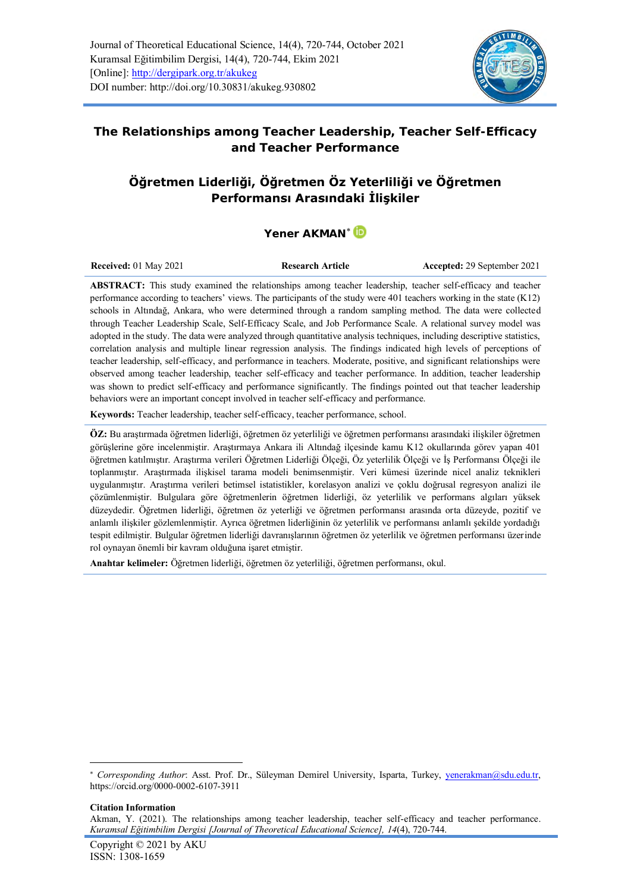

## **The Relationships among Teacher Leadership, Teacher Self-Efficacy and Teacher Performance**

# **Öğretmen Liderliği, Öğretmen Öz Yeterliliği ve Öğretmen Performansı Arasındaki İlişkiler**

### Yener AKMAN<sup>\*</sup>

| <b>Received:</b> 01 May 2021 | <b>Research Article</b> | Accepted: 29 September 2021 |
|------------------------------|-------------------------|-----------------------------|
|                              |                         |                             |

**ABSTRACT:** This study examined the relationships among teacher leadership, teacher self-efficacy and teacher performance according to teachers' views. The participants of the study were 401 teachers working in the state (K12) schools in Altındağ, Ankara, who were determined through a random sampling method. The data were collected through Teacher Leadership Scale, Self-Efficacy Scale, and Job Performance Scale. A relational survey model was adopted in the study. The data were analyzed through quantitative analysis techniques, including descriptive statistics, correlation analysis and multiple linear regression analysis. The findings indicated high levels of perceptions of teacher leadership, self-efficacy, and performance in teachers. Moderate, positive, and significant relationships were observed among teacher leadership, teacher self-efficacy and teacher performance. In addition, teacher leadership was shown to predict self-efficacy and performance significantly. The findings pointed out that teacher leadership behaviors were an important concept involved in teacher self-efficacy and performance.

**Keywords:** Teacher leadership, teacher self-efficacy, teacher performance, school.

**ÖZ:** Bu araştırmada öğretmen liderliği, öğretmen öz yeterliliği ve öğretmen performansı arasındaki ilişkiler öğretmen görüşlerine göre incelenmiştir. Araştırmaya Ankara ili Altındağ ilçesinde kamu K12 okullarında görev yapan 401 öğretmen katılmıştır. Araştırma verileri Öğretmen Liderliği Ölçeği, Öz yeterlilik Ölçeği ve İş Performansı Ölçeği ile toplanmıştır. Araştırmada ilişkisel tarama modeli benimsenmiştir. Veri kümesi üzerinde nicel analiz teknikleri uygulanmıştır. Araştırma verileri betimsel istatistikler, korelasyon analizi ve çoklu doğrusal regresyon analizi ile çözümlenmiştir. Bulgulara göre öğretmenlerin öğretmen liderliği, öz yeterlilik ve performans algıları yüksek düzeydedir. Öğretmen liderliği, öğretmen öz yeterliği ve öğretmen performansı arasında orta düzeyde, pozitif ve anlamlı ilişkiler gözlemlenmiştir. Ayrıca öğretmen liderliğinin öz yeterlilik ve performansı anlamlı şekilde yordadığı tespit edilmiştir. Bulgular öğretmen liderliği davranışlarının öğretmen öz yeterlilik ve öğretmen performansı üzerinde rol oynayan önemli bir kavram olduğuna işaret etmiştir.

**Anahtar kelimeler:** Öğretmen liderliği, öğretmen öz yeterliliği, öğretmen performansı, okul.

#### **Citation Information**

Akman, Y. (2021). The relationships among teacher leadership, teacher self-efficacy and teacher performance. *Kuramsal Eğitimbilim Dergisi [Journal of Theoretical Educational Science], 14*(4), 720-744.

*Corresponding Author*: Asst. Prof. Dr., Süleyman Demirel University, Isparta, Turkey, [yenerakman@sdu.edu.tr,](mailto:yenerakman@sdu.edu.tr) <https://orcid.org/0000-0002-6107-3911>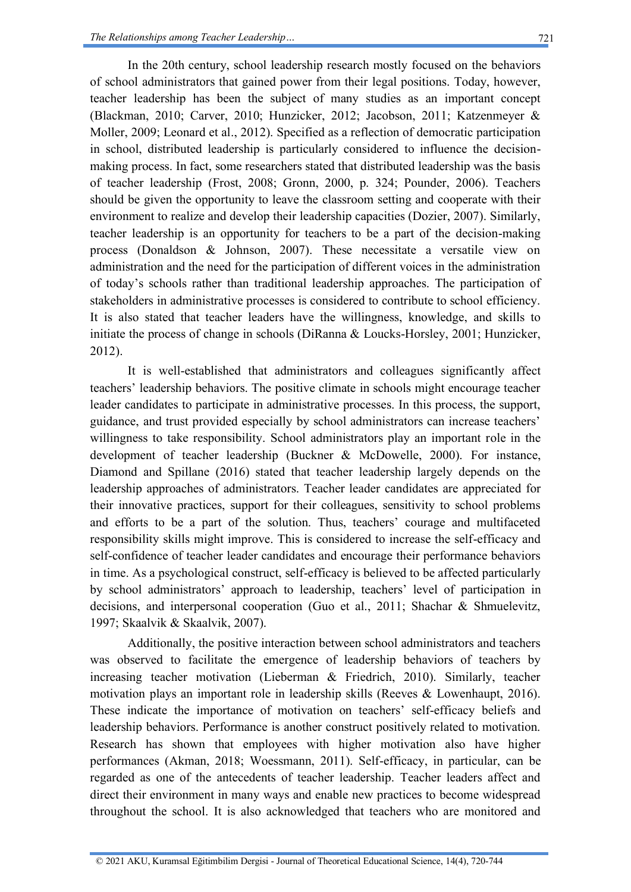of school administrators that gained power from their legal positions. Today, however, teacher leadership has been the subject of many studies as an important concept (Blackman, 2010; Carver, 2010; Hunzicker, 2012; Jacobson, 2011; Katzenmeyer & Moller, 2009; Leonard et al., 2012). Specified as a reflection of democratic participation in school, distributed leadership is particularly considered to influence the decisionmaking process. In fact, some researchers stated that distributed leadership was the basis of teacher leadership (Frost, 2008; Gronn, 2000, p. 324; Pounder, 2006). Teachers should be given the opportunity to leave the classroom setting and cooperate with their environment to realize and develop their leadership capacities (Dozier, 2007). Similarly, teacher leadership is an opportunity for teachers to be a part of the decision-making process (Donaldson & Johnson, 2007). These necessitate a versatile view on administration and the need for the participation of different voices in the administration of today's schools rather than traditional leadership approaches. The participation of stakeholders in administrative processes is considered to contribute to school efficiency. It is also stated that teacher leaders have the willingness, knowledge, and skills to initiate the process of change in schools (DiRanna & Loucks-Horsley, 2001; Hunzicker, 2012).

It is well-established that administrators and colleagues significantly affect teachers' leadership behaviors. The positive climate in schools might encourage teacher leader candidates to participate in administrative processes. In this process, the support, guidance, and trust provided especially by school administrators can increase teachers' willingness to take responsibility. School administrators play an important role in the development of teacher leadership (Buckner & McDowelle, 2000). For instance, Diamond and Spillane (2016) stated that teacher leadership largely depends on the leadership approaches of administrators. Teacher leader candidates are appreciated for their innovative practices, support for their colleagues, sensitivity to school problems and efforts to be a part of the solution. Thus, teachers' courage and multifaceted responsibility skills might improve. This is considered to increase the self-efficacy and self-confidence of teacher leader candidates and encourage their performance behaviors in time. As a psychological construct, self-efficacy is believed to be affected particularly by school administrators' approach to leadership, teachers' level of participation in decisions, and interpersonal cooperation (Guo et al., 2011; Shachar & Shmuelevitz, 1997; Skaalvik & Skaalvik, 2007).

Additionally, the positive interaction between school administrators and teachers was observed to facilitate the emergence of leadership behaviors of teachers by increasing teacher motivation (Lieberman & Friedrich, 2010). Similarly, teacher motivation plays an important role in leadership skills (Reeves & Lowenhaupt, 2016). These indicate the importance of motivation on teachers' self-efficacy beliefs and leadership behaviors. Performance is another construct positively related to motivation. Research has shown that employees with higher motivation also have higher performances (Akman, 2018; Woessmann, 2011). Self-efficacy, in particular, can be regarded as one of the antecedents of teacher leadership. Teacher leaders affect and direct their environment in many ways and enable new practices to become widespread throughout the school. It is also acknowledged that teachers who are monitored and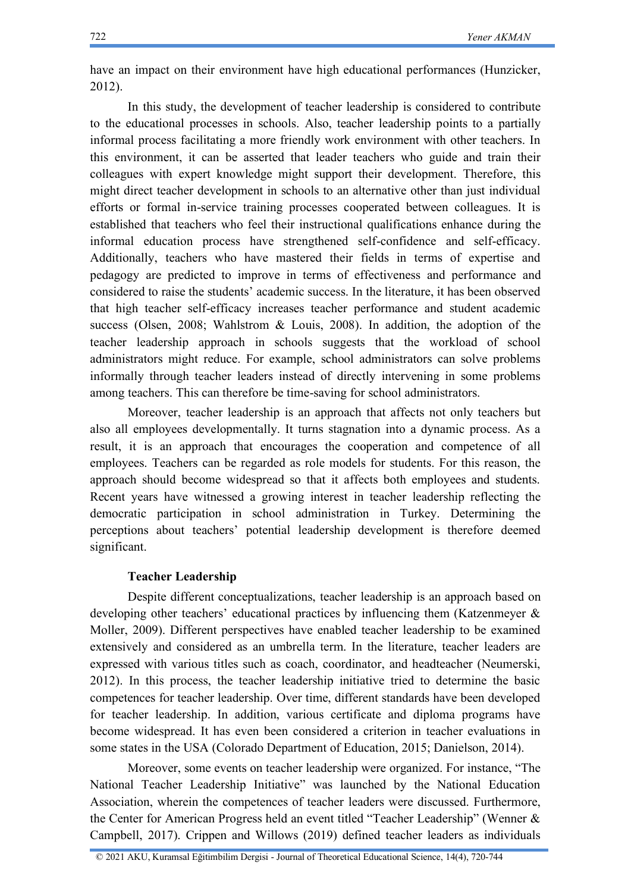have an impact on their environment have high educational performances (Hunzicker, 2012).

In this study, the development of teacher leadership is considered to contribute to the educational processes in schools. Also, teacher leadership points to a partially informal process facilitating a more friendly work environment with other teachers. In this environment, it can be asserted that leader teachers who guide and train their colleagues with expert knowledge might support their development. Therefore, this might direct teacher development in schools to an alternative other than just individual efforts or formal in-service training processes cooperated between colleagues. It is established that teachers who feel their instructional qualifications enhance during the informal education process have strengthened self-confidence and self-efficacy. Additionally, teachers who have mastered their fields in terms of expertise and pedagogy are predicted to improve in terms of effectiveness and performance and considered to raise the students' academic success. In the literature, it has been observed that high teacher self-efficacy increases teacher performance and student academic success (Olsen, 2008; Wahlstrom & Louis, 2008). In addition, the adoption of the teacher leadership approach in schools suggests that the workload of school administrators might reduce. For example, school administrators can solve problems informally through teacher leaders instead of directly intervening in some problems among teachers. This can therefore be time-saving for school administrators.

Moreover, teacher leadership is an approach that affects not only teachers but also all employees developmentally. It turns stagnation into a dynamic process. As a result, it is an approach that encourages the cooperation and competence of all employees. Teachers can be regarded as role models for students. For this reason, the approach should become widespread so that it affects both employees and students. Recent years have witnessed a growing interest in teacher leadership reflecting the democratic participation in school administration in Turkey. Determining the perceptions about teachers' potential leadership development is therefore deemed significant.

#### **Teacher Leadership**

Despite different conceptualizations, teacher leadership is an approach based on developing other teachers' educational practices by influencing them (Katzenmeyer & Moller, 2009). Different perspectives have enabled teacher leadership to be examined extensively and considered as an umbrella term. In the literature, teacher leaders are expressed with various titles such as coach, coordinator, and headteacher (Neumerski, 2012). In this process, the teacher leadership initiative tried to determine the basic competences for teacher leadership. Over time, different standards have been developed for teacher leadership. In addition, various certificate and diploma programs have become widespread. It has even been considered a criterion in teacher evaluations in some states in the USA (Colorado Department of Education, 2015; Danielson, 2014).

Moreover, some events on teacher leadership were organized. For instance, "The National Teacher Leadership Initiative" was launched by the National Education Association, wherein the competences of teacher leaders were discussed. Furthermore, the Center for American Progress held an event titled "Teacher Leadership" (Wenner & Campbell, 2017). Crippen and Willows (2019) defined teacher leaders as individuals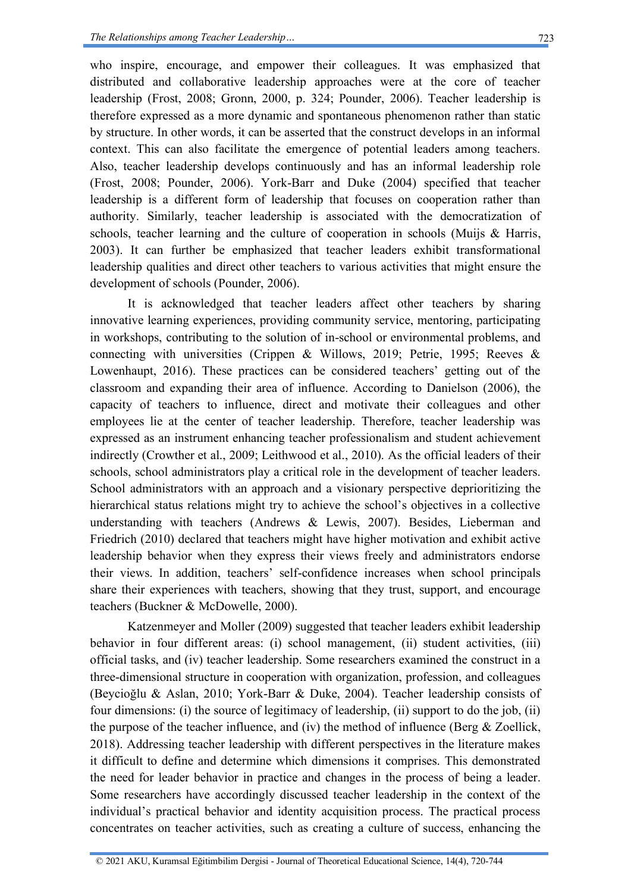who inspire, encourage, and empower their colleagues. It was emphasized that distributed and collaborative leadership approaches were at the core of teacher leadership (Frost, 2008; Gronn, 2000, p. 324; Pounder, 2006). Teacher leadership is therefore expressed as a more dynamic and spontaneous phenomenon rather than static by structure. In other words, it can be asserted that the construct develops in an informal context. This can also facilitate the emergence of potential leaders among teachers. Also, teacher leadership develops continuously and has an informal leadership role (Frost, 2008; Pounder, 2006). York-Barr and Duke (2004) specified that teacher leadership is a different form of leadership that focuses on cooperation rather than authority. Similarly, teacher leadership is associated with the democratization of schools, teacher learning and the culture of cooperation in schools (Muijs & Harris, 2003). It can further be emphasized that teacher leaders exhibit transformational leadership qualities and direct other teachers to various activities that might ensure the development of schools (Pounder, 2006).

It is acknowledged that teacher leaders affect other teachers by sharing innovative learning experiences, providing community service, mentoring, participating in workshops, contributing to the solution of in-school or environmental problems, and connecting with universities (Crippen & Willows, 2019; Petrie, 1995; Reeves & Lowenhaupt, 2016). These practices can be considered teachers' getting out of the classroom and expanding their area of influence. According to Danielson (2006), the capacity of teachers to influence, direct and motivate their colleagues and other employees lie at the center of teacher leadership. Therefore, teacher leadership was expressed as an instrument enhancing teacher professionalism and student achievement indirectly (Crowther et al., 2009; Leithwood et al., 2010). As the official leaders of their schools, school administrators play a critical role in the development of teacher leaders. School administrators with an approach and a visionary perspective deprioritizing the hierarchical status relations might try to achieve the school's objectives in a collective understanding with teachers (Andrews & Lewis, 2007). Besides, Lieberman and Friedrich (2010) declared that teachers might have higher motivation and exhibit active leadership behavior when they express their views freely and administrators endorse their views. In addition, teachers' self-confidence increases when school principals share their experiences with teachers, showing that they trust, support, and encourage teachers (Buckner & McDowelle, 2000).

Katzenmeyer and Moller (2009) suggested that teacher leaders exhibit leadership behavior in four different areas: (i) school management, (ii) student activities, (iii) official tasks, and (iv) teacher leadership. Some researchers examined the construct in a three-dimensional structure in cooperation with organization, profession, and colleagues (Beycioğlu & Aslan, 2010; York-Barr & Duke, 2004). Teacher leadership consists of four dimensions: (i) the source of legitimacy of leadership, (ii) support to do the job, (ii) the purpose of the teacher influence, and (iv) the method of influence (Berg  $& Z$ oellick, 2018). Addressing teacher leadership with different perspectives in the literature makes it difficult to define and determine which dimensions it comprises. This demonstrated the need for leader behavior in practice and changes in the process of being a leader. Some researchers have accordingly discussed teacher leadership in the context of the individual's practical behavior and identity acquisition process. The practical process concentrates on teacher activities, such as creating a culture of success, enhancing the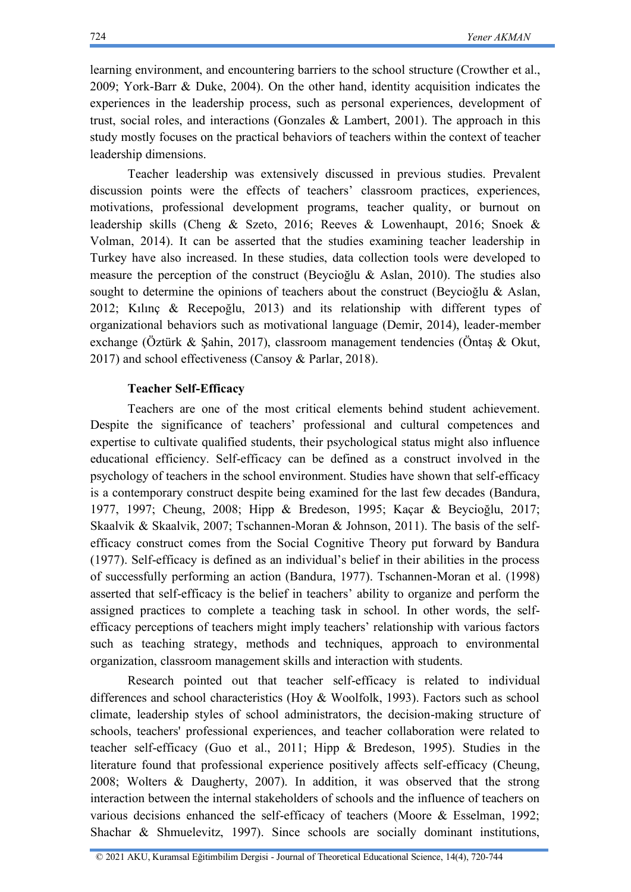learning environment, and encountering barriers to the school structure (Crowther et al., 2009; York-Barr & Duke, 2004). On the other hand, identity acquisition indicates the experiences in the leadership process, such as personal experiences, development of trust, social roles, and interactions (Gonzales  $\&$  Lambert, 2001). The approach in this study mostly focuses on the practical behaviors of teachers within the context of teacher leadership dimensions.

Teacher leadership was extensively discussed in previous studies. Prevalent discussion points were the effects of teachers' classroom practices, experiences, motivations, professional development programs, teacher quality, or burnout on leadership skills (Cheng & Szeto, 2016; Reeves & Lowenhaupt, 2016; Snoek & Volman, 2014). It can be asserted that the studies examining teacher leadership in Turkey have also increased. In these studies, data collection tools were developed to measure the perception of the construct (Beycioğlu & Aslan, 2010). The studies also sought to determine the opinions of teachers about the construct (Beycioğlu & Aslan, 2012; Kılınç & Recepoğlu, 2013) and its relationship with different types of organizational behaviors such as motivational language (Demir, 2014), leader-member exchange (Öztürk & Şahin, 2017), classroom management tendencies (Öntaş & Okut, 2017) and school effectiveness (Cansoy & Parlar, 2018).

#### **Teacher Self-Efficacy**

Teachers are one of the most critical elements behind student achievement. Despite the significance of teachers' professional and cultural competences and expertise to cultivate qualified students, their psychological status might also influence educational efficiency. Self-efficacy can be defined as a construct involved in the psychology of teachers in the school environment. Studies have shown that self-efficacy is a contemporary construct despite being examined for the last few decades (Bandura, 1977, 1997; Cheung, 2008; Hipp & Bredeson, 1995; Kaçar & Beycioğlu, 2017; Skaalvik & Skaalvik, 2007; Tschannen-Moran & Johnson, 2011). The basis of the selfefficacy construct comes from the Social Cognitive Theory put forward by Bandura (1977). Self-efficacy is defined as an individual's belief in their abilities in the process of successfully performing an action (Bandura, 1977). Tschannen-Moran et al. (1998) asserted that self-efficacy is the belief in teachers' ability to organize and perform the assigned practices to complete a teaching task in school. In other words, the selfefficacy perceptions of teachers might imply teachers' relationship with various factors such as teaching strategy, methods and techniques, approach to environmental organization, classroom management skills and interaction with students.

Research pointed out that teacher self-efficacy is related to individual differences and school characteristics (Hoy & Woolfolk, 1993). Factors such as school climate, leadership styles of school administrators, the decision-making structure of schools, teachers' professional experiences, and teacher collaboration were related to teacher self-efficacy (Guo et al., 2011; Hipp & Bredeson, 1995). Studies in the literature found that professional experience positively affects self-efficacy (Cheung, 2008; Wolters & Daugherty, 2007). In addition, it was observed that the strong interaction between the internal stakeholders of schools and the influence of teachers on various decisions enhanced the self-efficacy of teachers (Moore & Esselman, 1992; Shachar & Shmuelevitz, 1997). Since schools are socially dominant institutions,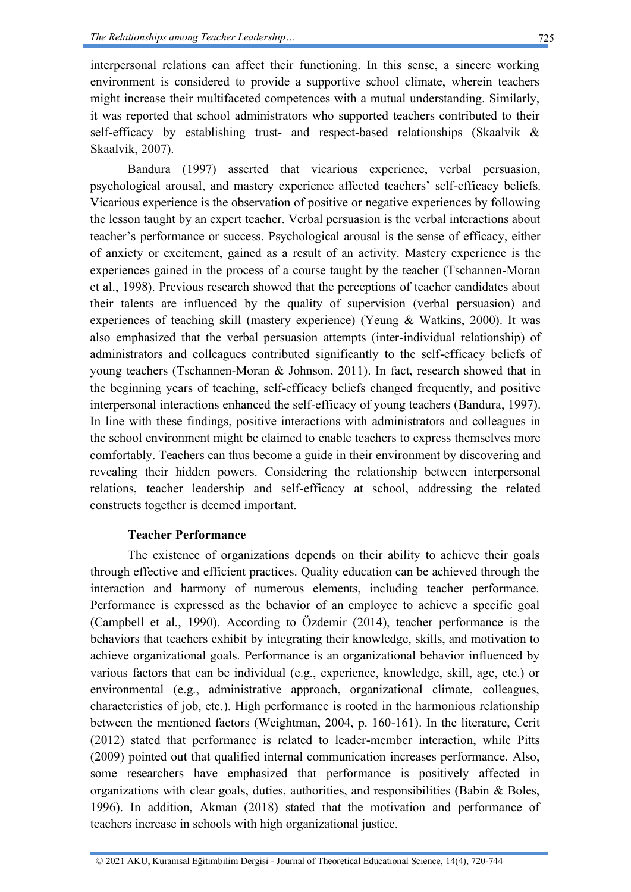interpersonal relations can affect their functioning. In this sense, a sincere working environment is considered to provide a supportive school climate, wherein teachers might increase their multifaceted competences with a mutual understanding. Similarly, it was reported that school administrators who supported teachers contributed to their self-efficacy by establishing trust- and respect-based relationships (Skaalvik & Skaalvik, 2007).

Bandura (1997) asserted that vicarious experience, verbal persuasion, psychological arousal, and mastery experience affected teachers' self-efficacy beliefs. Vicarious experience is the observation of positive or negative experiences by following the lesson taught by an expert teacher. Verbal persuasion is the verbal interactions about teacher's performance or success. Psychological arousal is the sense of efficacy, either of anxiety or excitement, gained as a result of an activity. Mastery experience is the experiences gained in the process of a course taught by the teacher (Tschannen-Moran et al., 1998). Previous research showed that the perceptions of teacher candidates about their talents are influenced by the quality of supervision (verbal persuasion) and experiences of teaching skill (mastery experience) (Yeung & Watkins, 2000). It was also emphasized that the verbal persuasion attempts (inter-individual relationship) of administrators and colleagues contributed significantly to the self-efficacy beliefs of young teachers (Tschannen-Moran & Johnson, 2011). In fact, research showed that in the beginning years of teaching, self-efficacy beliefs changed frequently, and positive interpersonal interactions enhanced the self-efficacy of young teachers (Bandura, 1997). In line with these findings, positive interactions with administrators and colleagues in the school environment might be claimed to enable teachers to express themselves more comfortably. Teachers can thus become a guide in their environment by discovering and revealing their hidden powers. Considering the relationship between interpersonal relations, teacher leadership and self-efficacy at school, addressing the related constructs together is deemed important.

### **Teacher Performance**

The existence of organizations depends on their ability to achieve their goals through effective and efficient practices. Quality education can be achieved through the interaction and harmony of numerous elements, including teacher performance. Performance is expressed as the behavior of an employee to achieve a specific goal (Campbell et al., 1990). According to Özdemir (2014), teacher performance is the behaviors that teachers exhibit by integrating their knowledge, skills, and motivation to achieve organizational goals. Performance is an organizational behavior influenced by various factors that can be individual (e.g., experience, knowledge, skill, age, etc.) or environmental (e.g., administrative approach, organizational climate, colleagues, characteristics of job, etc.). High performance is rooted in the harmonious relationship between the mentioned factors (Weightman, 2004, p. 160-161). In the literature, Cerit (2012) stated that performance is related to leader-member interaction, while Pitts (2009) pointed out that qualified internal communication increases performance. Also, some researchers have emphasized that performance is positively affected in organizations with clear goals, duties, authorities, and responsibilities (Babin & Boles, 1996). In addition, Akman (2018) stated that the motivation and performance of teachers increase in schools with high organizational justice.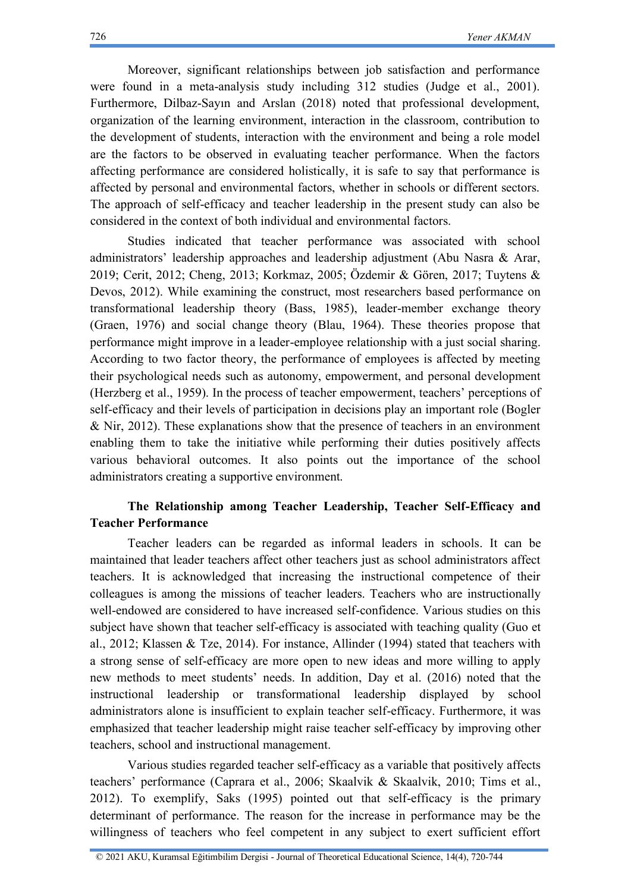Moreover, significant relationships between job satisfaction and performance were found in a meta-analysis study including 312 studies (Judge et al., 2001). Furthermore, Dilbaz-Sayın and Arslan (2018) noted that professional development, organization of the learning environment, interaction in the classroom, contribution to the development of students, interaction with the environment and being a role model are the factors to be observed in evaluating teacher performance. When the factors affecting performance are considered holistically, it is safe to say that performance is affected by personal and environmental factors, whether in schools or different sectors. The approach of self-efficacy and teacher leadership in the present study can also be considered in the context of both individual and environmental factors.

Studies indicated that teacher performance was associated with school administrators' leadership approaches and leadership adjustment (Abu Nasra & Arar, 2019; Cerit, 2012; Cheng, 2013; Korkmaz, 2005; Özdemir & Gören, 2017; Tuytens & Devos, 2012). While examining the construct, most researchers based performance on transformational leadership theory (Bass, 1985), leader-member exchange theory (Graen, 1976) and social change theory (Blau, 1964). These theories propose that performance might improve in a leader-employee relationship with a just social sharing. According to two factor theory, the performance of employees is affected by meeting their psychological needs such as autonomy, empowerment, and personal development (Herzberg et al., 1959). In the process of teacher empowerment, teachers' perceptions of self-efficacy and their levels of participation in decisions play an important role (Bogler & Nir, 2012). These explanations show that the presence of teachers in an environment enabling them to take the initiative while performing their duties positively affects various behavioral outcomes. It also points out the importance of the school administrators creating a supportive environment.

## **The Relationship among Teacher Leadership, Teacher Self-Efficacy and Teacher Performance**

Teacher leaders can be regarded as informal leaders in schools. It can be maintained that leader teachers affect other teachers just as school administrators affect teachers. It is acknowledged that increasing the instructional competence of their colleagues is among the missions of teacher leaders. Teachers who are instructionally well-endowed are considered to have increased self-confidence. Various studies on this subject have shown that teacher self-efficacy is associated with teaching quality (Guo et al., 2012; Klassen & Tze, 2014). For instance, Allinder (1994) stated that teachers with a strong sense of self-efficacy are more open to new ideas and more willing to apply new methods to meet students' needs. In addition, Day et al. (2016) noted that the instructional leadership or transformational leadership displayed by school administrators alone is insufficient to explain teacher self-efficacy. Furthermore, it was emphasized that teacher leadership might raise teacher self-efficacy by improving other teachers, school and instructional management.

Various studies regarded teacher self-efficacy as a variable that positively affects teachers' performance (Caprara et al., 2006; Skaalvik & Skaalvik, 2010; Tims et al., 2012). To exemplify, Saks (1995) pointed out that self-efficacy is the primary determinant of performance. The reason for the increase in performance may be the willingness of teachers who feel competent in any subject to exert sufficient effort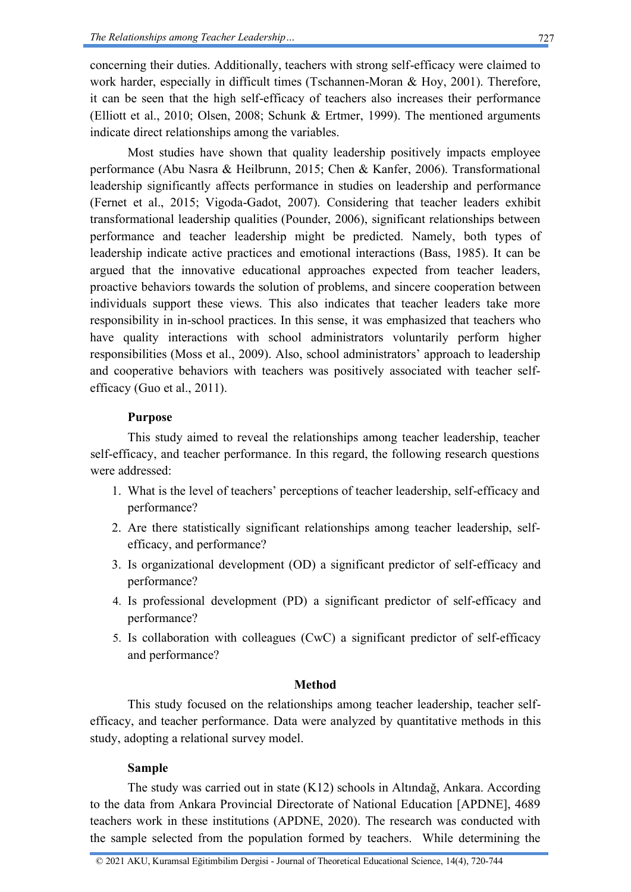concerning their duties. Additionally, teachers with strong self-efficacy were claimed to work harder, especially in difficult times (Tschannen-Moran & Hoy, 2001). Therefore, it can be seen that the high self-efficacy of teachers also increases their performance (Elliott et al., 2010; Olsen, 2008; Schunk & Ertmer, 1999). The mentioned arguments indicate direct relationships among the variables.

Most studies have shown that quality leadership positively impacts employee performance (Abu Nasra & Heilbrunn, 2015; Chen & Kanfer, 2006). Transformational leadership significantly affects performance in studies on leadership and performance (Fernet et al., 2015; Vigoda-Gadot, 2007). Considering that teacher leaders exhibit transformational leadership qualities (Pounder, 2006), significant relationships between performance and teacher leadership might be predicted. Namely, both types of leadership indicate active practices and emotional interactions (Bass, 1985). It can be argued that the innovative educational approaches expected from teacher leaders, proactive behaviors towards the solution of problems, and sincere cooperation between individuals support these views. This also indicates that teacher leaders take more responsibility in in-school practices. In this sense, it was emphasized that teachers who have quality interactions with school administrators voluntarily perform higher responsibilities (Moss et al., 2009). Also, school administrators' approach to leadership and cooperative behaviors with teachers was positively associated with teacher selfefficacy (Guo et al., 2011).

### **Purpose**

This study aimed to reveal the relationships among teacher leadership, teacher self-efficacy, and teacher performance. In this regard, the following research questions were addressed:

- 1. What is the level of teachers' perceptions of teacher leadership, self-efficacy and performance?
- 2. Are there statistically significant relationships among teacher leadership, selfefficacy, and performance?
- 3. Is organizational development (OD) a significant predictor of self-efficacy and performance?
- 4. Is professional development (PD) a significant predictor of self-efficacy and performance?
- 5. Is collaboration with colleagues (CwC) a significant predictor of self-efficacy and performance?

### **Method**

This study focused on the relationships among teacher leadership, teacher selfefficacy, and teacher performance. Data were analyzed by quantitative methods in this study, adopting a relational survey model.

### **Sample**

The study was carried out in state (K12) schools in Altındağ, Ankara. According to the data from Ankara Provincial Directorate of National Education [APDNE], 4689 teachers work in these institutions (APDNE, 2020). The research was conducted with the sample selected from the population formed by teachers. While determining the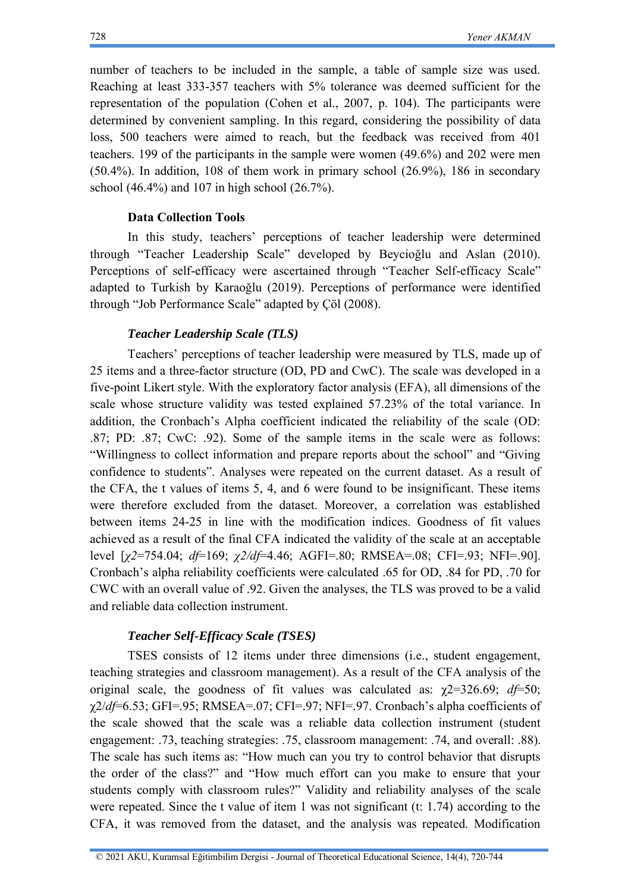number of teachers to be included in the sample, a table of sample size was used. Reaching at least 333-357 teachers with 5% tolerance was deemed sufficient for the representation of the population (Cohen et al., 2007, p. 104). The participants were determined by convenient sampling. In this regard, considering the possibility of data loss, 500 teachers were aimed to reach, but the feedback was received from 401 teachers. 199 of the participants in the sample were women (49.6%) and 202 were men (50.4%). In addition, 108 of them work in primary school (26.9%), 186 in secondary school (46.4%) and 107 in high school (26.7%).

#### **Data Collection Tools**

In this study, teachers' perceptions of teacher leadership were determined through "Teacher Leadership Scale" developed by Beycioğlu and Aslan (2010). Perceptions of self-efficacy were ascertained through "Teacher Self-efficacy Scale" adapted to Turkish by Karaoğlu (2019). Perceptions of performance were identified through "Job Performance Scale" adapted by Çöl (2008).

#### *Teacher Leadership Scale (TLS)*

Teachers' perceptions of teacher leadership were measured by TLS, made up of 25 items and a three-factor structure (OD, PD and CwC). The scale was developed in a five-point Likert style. With the exploratory factor analysis (EFA), all dimensions of the scale whose structure validity was tested explained 57.23% of the total variance. In addition, the Cronbach's Alpha coefficient indicated the reliability of the scale (OD: .87; PD: .87; CwC: .92). Some of the sample items in the scale were as follows: "Willingness to collect information and prepare reports about the school" and "Giving confidence to students". Analyses were repeated on the current dataset. As a result of the CFA, the t values of items 5, 4, and 6 were found to be insignificant. These items were therefore excluded from the dataset. Moreover, a correlation was established between items 24-25 in line with the modification indices. Goodness of fit values achieved as a result of the final CFA indicated the validity of the scale at an acceptable level [*χ2*=754.04; *df*=169; *χ2/df*=4.46; AGFI=.80; RMSEA=.08; CFI=.93; NFI=.90]. Cronbach's alpha reliability coefficients were calculated .65 for OD, .84 for PD, .70 for CWC with an overall value of .92. Given the analyses, the TLS was proved to be a valid and reliable data collection instrument.

#### *Teacher Self-Efficacy Scale (TSES)*

TSES consists of 12 items under three dimensions (i.e., student engagement, teaching strategies and classroom management). As a result of the CFA analysis of the original scale, the goodness of fit values was calculated as:  $\gamma$ 2=326.69; *d* $\neq$ =50; χ2/*df*=6.53; GFI=.95; RMSEA=.07; CFI=.97; NFI=.97. Cronbach's alpha coefficients of the scale showed that the scale was a reliable data collection instrument (student engagement: .73, teaching strategies: .75, classroom management: .74, and overall: .88). The scale has such items as: "How much can you try to control behavior that disrupts the order of the class?" and "How much effort can you make to ensure that your students comply with classroom rules?" Validity and reliability analyses of the scale were repeated. Since the t value of item 1 was not significant (t: 1.74) according to the CFA, it was removed from the dataset, and the analysis was repeated. Modification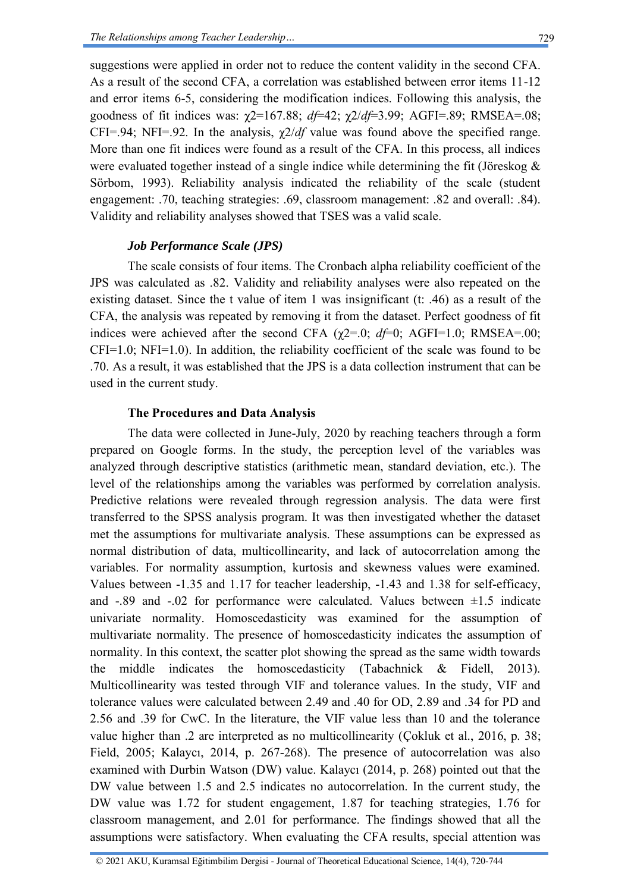suggestions were applied in order not to reduce the content validity in the second CFA. As a result of the second CFA, a correlation was established between error items 11-12 and error items 6-5, considering the modification indices. Following this analysis, the goodness of fit indices was: χ2=167.88; *df*=42; χ2/*df*=3.99; AGFI=.89; RMSEA=.08; CFI=.94; NFI=.92. In the analysis,  $\chi$ 2/*df* value was found above the specified range. More than one fit indices were found as a result of the CFA. In this process, all indices were evaluated together instead of a single indice while determining the fit (Jöreskog & Sörbom, 1993). Reliability analysis indicated the reliability of the scale (student engagement: .70, teaching strategies: .69, classroom management: .82 and overall: .84). Validity and reliability analyses showed that TSES was a valid scale.

#### *Job Performance Scale (JPS)*

The scale consists of four items. The Cronbach alpha reliability coefficient of the JPS was calculated as .82. Validity and reliability analyses were also repeated on the existing dataset. Since the t value of item 1 was insignificant (t: .46) as a result of the CFA, the analysis was repeated by removing it from the dataset. Perfect goodness of fit indices were achieved after the second CFA  $(\gamma2=0; d\mathit{f}=0; AGF1=1.0; RMSEA=00;$ CFI=1.0; NFI=1.0). In addition, the reliability coefficient of the scale was found to be .70. As a result, it was established that the JPS is a data collection instrument that can be used in the current study.

#### **The Procedures and Data Analysis**

The data were collected in June-July, 2020 by reaching teachers through a form prepared on Google forms. In the study, the perception level of the variables was analyzed through descriptive statistics (arithmetic mean, standard deviation, etc.). The level of the relationships among the variables was performed by correlation analysis. Predictive relations were revealed through regression analysis. The data were first transferred to the SPSS analysis program. It was then investigated whether the dataset met the assumptions for multivariate analysis. These assumptions can be expressed as normal distribution of data, multicollinearity, and lack of autocorrelation among the variables. For normality assumption, kurtosis and skewness values were examined. Values between -1.35 and 1.17 for teacher leadership, -1.43 and 1.38 for self-efficacy, and  $-0.89$  and  $-0.02$  for performance were calculated. Values between  $\pm 1.5$  indicate univariate normality. Homoscedasticity was examined for the assumption of multivariate normality. The presence of homoscedasticity indicates the assumption of normality. In this context, the scatter plot showing the spread as the same width towards the middle indicates the homoscedasticity (Tabachnick & Fidell, 2013). Multicollinearity was tested through VIF and tolerance values. In the study, VIF and tolerance values were calculated between 2.49 and .40 for OD, 2.89 and .34 for PD and 2.56 and .39 for CwC. In the literature, the VIF value less than 10 and the tolerance value higher than .2 are interpreted as no multicollinearity (Çokluk et al., 2016, p. 38; Field, 2005; Kalaycı, 2014, p. 267-268). The presence of autocorrelation was also examined with Durbin Watson (DW) value. Kalaycı (2014, p. 268) pointed out that the DW value between 1.5 and 2.5 indicates no autocorrelation. In the current study, the DW value was 1.72 for student engagement, 1.87 for teaching strategies, 1.76 for classroom management, and 2.01 for performance. The findings showed that all the assumptions were satisfactory. When evaluating the CFA results, special attention was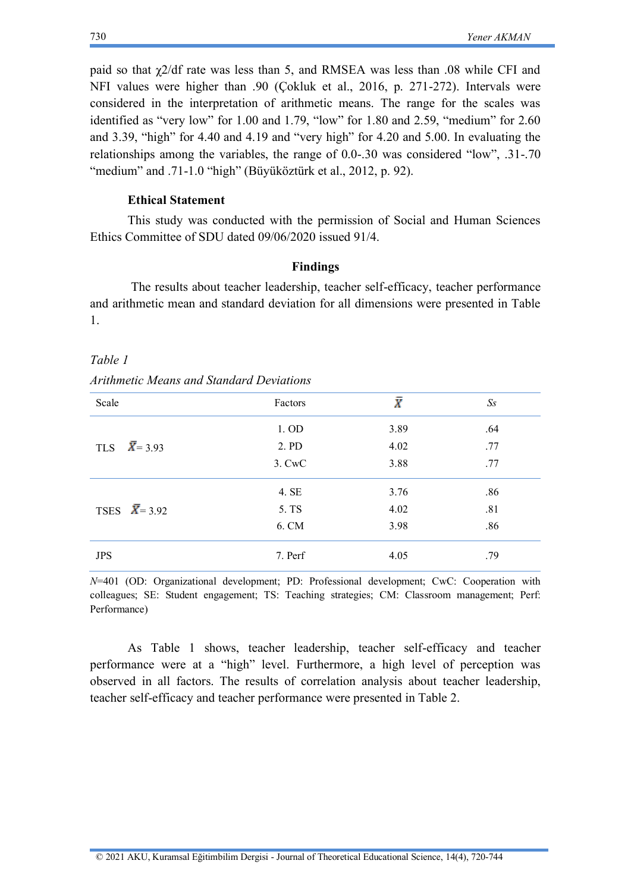paid so that χ2/df rate was less than 5, and RMSEA was less than .08 while CFI and NFI values were higher than .90 (Çokluk et al., 2016, p. 271-272). Intervals were considered in the interpretation of arithmetic means. The range for the scales was identified as "very low" for 1.00 and 1.79, "low" for 1.80 and 2.59, "medium" for 2.60 and 3.39, "high" for 4.40 and 4.19 and "very high" for 4.20 and 5.00. In evaluating the relationships among the variables, the range of 0.0-.30 was considered "low", .31-.70 "medium" and .71-1.0 "high" (Büyüköztürk et al., 2012, p. 92).

#### **Ethical Statement**

This study was conducted with the permission of Social and Human Sciences Ethics Committee of SDU dated 09/06/2020 issued 91/4.

#### **Findings**

The results about teacher leadership, teacher self-efficacy, teacher performance and arithmetic mean and standard deviation for all dimensions were presented in Table 1.

#### *Table 1*

| <b>Arithmetic Means and Standard Deviations</b> |  |  |  |
|-------------------------------------------------|--|--|--|
|-------------------------------------------------|--|--|--|

| Scale                 | Factors | $\bar{X}$ | $S_{S}$ |
|-----------------------|---------|-----------|---------|
|                       | 1. OD   | 3.89      | .64     |
| TLS $\bar{X}$ = 3.93  | 2. PD   | 4.02      | .77     |
|                       | 3. CwC  | 3.88      | .77     |
|                       | 4. SE   | 3.76      | .86     |
| TSES $\bar{X}$ = 3.92 | 5. TS   | 4.02      | .81     |
|                       | 6. CM   | 3.98      | .86     |
| <b>JPS</b>            | 7. Perf | 4.05      | .79     |

*N*=401 (OD: Organizational development; PD: Professional development; CwC: Cooperation with colleagues; SE: Student engagement; TS: Teaching strategies; CM: Classroom management; Perf: Performance)

As Table 1 shows, teacher leadership, teacher self-efficacy and teacher performance were at a "high" level. Furthermore, a high level of perception was observed in all factors. The results of correlation analysis about teacher leadership, teacher self-efficacy and teacher performance were presented in Table 2.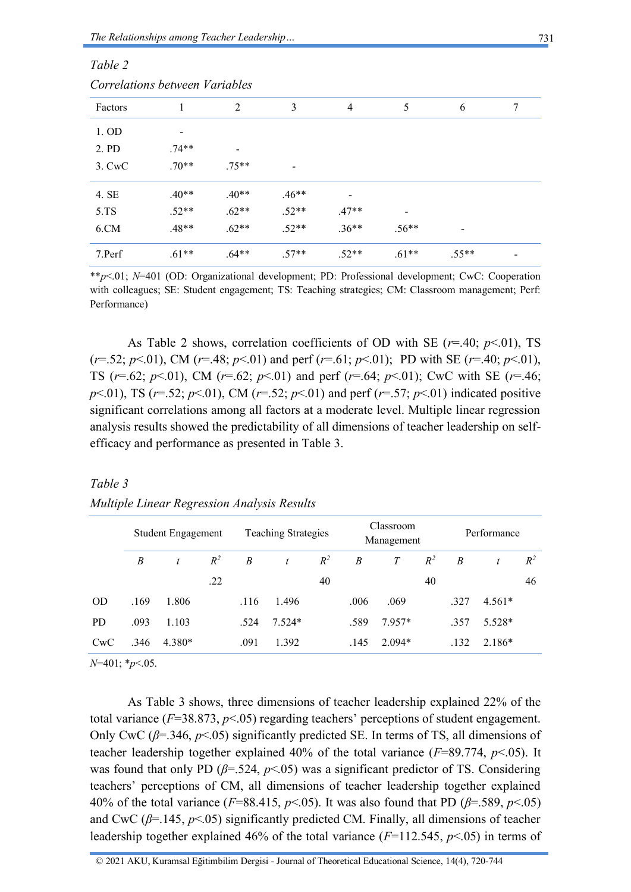*Table 2*

| Correlations between Variables |         |         |         |                |         |                          |   |  |  |
|--------------------------------|---------|---------|---------|----------------|---------|--------------------------|---|--|--|
| Factors                        |         | 2       | 3       | $\overline{4}$ | 5       | 6                        | 7 |  |  |
| 1. OD                          | -       |         |         |                |         |                          |   |  |  |
| 2. PD                          | $.74**$ |         |         |                |         |                          |   |  |  |
| 3. CwC                         | $.70**$ | $.75**$ |         |                |         |                          |   |  |  |
| 4. SE                          | $.40**$ | $.40**$ | $.46**$ |                |         |                          |   |  |  |
| 5. T <sub>S</sub>              | $.52**$ | $.62**$ | $.52**$ | $.47**$        |         |                          |   |  |  |
| 6.CM                           | $.48**$ | $.62**$ | $.52**$ | $.36**$        | $.56**$ | $\overline{\phantom{a}}$ |   |  |  |
| 7.Perf                         | $.61**$ | $.64**$ | $.57**$ | $.52**$        | $.61**$ | $.55**$                  |   |  |  |

\*\**p*<.01; *N*=401 (OD: Organizational development; PD: Professional development; CwC: Cooperation with colleagues; SE: Student engagement; TS: Teaching strategies; CM: Classroom management; Perf: Performance)

As Table 2 shows, correlation coefficients of OD with SE  $(r=40; p<.01)$ , TS ( $r=52$ ;  $p<01$ ), CM ( $r=48$ ;  $p<01$ ) and perf ( $r=61$ ;  $p<01$ ); PD with SE ( $r=40$ ;  $p<01$ ), TS (*r*=.62; *p*<.01), CM (*r*=.62; *p*<.01) and perf (*r*=.64; *p*<.01); CwC with SE (*r*=.46; *p*<.01), TS (*r*=.52; *p*<.01), CM (*r*=.52; *p*<.01) and perf (*r*=.57; *p*<.01) indicated positive significant correlations among all factors at a moderate level. Multiple linear regression analysis results showed the predictability of all dimensions of teacher leadership on selfefficacy and performance as presented in Table 3.

| Table 3                                     |  |
|---------------------------------------------|--|
| Multiple Linear Regression Analysis Results |  |

|           | Student Engagement |        | <b>Teaching Strategies</b> |      | Classroom<br>Management |       |                  | Performance |       |                  |          |       |
|-----------|--------------------|--------|----------------------------|------|-------------------------|-------|------------------|-------------|-------|------------------|----------|-------|
|           | B                  | t      | $R^2$                      | B    | $\mathfrak{t}$          | $R^2$ | $\boldsymbol{B}$ | T           | $R^2$ | $\boldsymbol{B}$ | t        | $R^2$ |
|           |                    |        | .22                        |      |                         | 40    |                  |             | 40    |                  |          | 46    |
| <b>OD</b> | .169               | 1.806  |                            | .116 | 1.496                   |       | .006             | .069        |       | .327             | $4.561*$ |       |
| <b>PD</b> | .093               | 1.103  |                            | .524 | $7.524*$                |       | .589             | 7.957*      |       | .357             | 5.528*   |       |
| CwC       | .346               | 4.380* |                            | .091 | 1.392                   |       | .145             | $2.094*$    |       | .132             | 2.186*   |       |

*N*=401; \**p*<.05.

As Table 3 shows, three dimensions of teacher leadership explained 22% of the total variance (*F*=38.873, *p*<.05) regarding teachers' perceptions of student engagement. Only CwC ( $\beta$ =.346,  $p$ <.05) significantly predicted SE. In terms of TS, all dimensions of teacher leadership together explained 40% of the total variance (*F*=89.774, *p*<.05). It was found that only PD ( $\beta$ =.524,  $p$ <.05) was a significant predictor of TS. Considering teachers' perceptions of CM, all dimensions of teacher leadership together explained 40% of the total variance ( $F=88.415$ ,  $p<0.05$ ). It was also found that PD ( $\beta = .589$ ,  $p<0.05$ ) and CwC ( $\beta$ =.145,  $p$ <.05) significantly predicted CM. Finally, all dimensions of teacher leadership together explained 46% of the total variance (*F*=112.545, *p*<.05) in terms of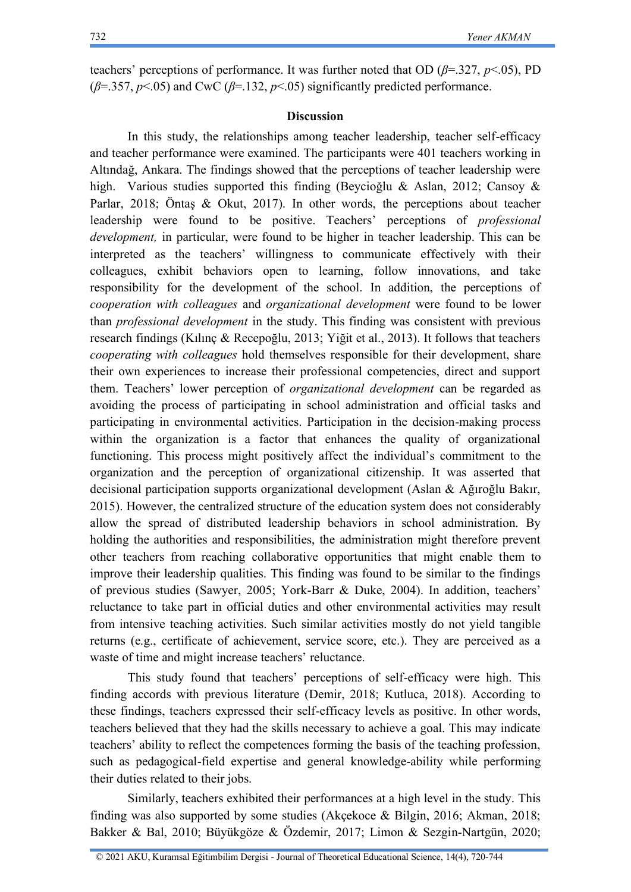teachers' perceptions of performance. It was further noted that OD (*β*=.327, *p*<.05), PD ( $\beta$ =.357,  $p$ <.05) and CwC ( $\beta$ =.132,  $p$ <.05) significantly predicted performance.

#### **Discussion**

In this study, the relationships among teacher leadership, teacher self-efficacy and teacher performance were examined. The participants were 401 teachers working in Altındağ, Ankara. The findings showed that the perceptions of teacher leadership were high. Various studies supported this finding (Beycioğlu & Aslan, 2012; Cansoy & Parlar, 2018; Öntaş & Okut, 2017). In other words, the perceptions about teacher leadership were found to be positive. Teachers' perceptions of *professional development,* in particular, were found to be higher in teacher leadership. This can be interpreted as the teachers' willingness to communicate effectively with their colleagues, exhibit behaviors open to learning, follow innovations, and take responsibility for the development of the school. In addition, the perceptions of *cooperation with colleagues* and *organizational development* were found to be lower than *professional development* in the study. This finding was consistent with previous research findings (Kılınç & Recepoğlu, 2013; Yiğit et al., 2013). It follows that teachers *cooperating with colleagues* hold themselves responsible for their development, share their own experiences to increase their professional competencies, direct and support them. Teachers' lower perception of *organizational development* can be regarded as avoiding the process of participating in school administration and official tasks and participating in environmental activities. Participation in the decision-making process within the organization is a factor that enhances the quality of organizational functioning. This process might positively affect the individual's commitment to the organization and the perception of organizational citizenship. It was asserted that decisional participation supports organizational development (Aslan & Ağıroğlu Bakır, 2015). However, the centralized structure of the education system does not considerably allow the spread of distributed leadership behaviors in school administration. By holding the authorities and responsibilities, the administration might therefore prevent other teachers from reaching collaborative opportunities that might enable them to improve their leadership qualities. This finding was found to be similar to the findings of previous studies (Sawyer, 2005; York-Barr & Duke, 2004). In addition, teachers' reluctance to take part in official duties and other environmental activities may result from intensive teaching activities. Such similar activities mostly do not yield tangible returns (e.g., certificate of achievement, service score, etc.). They are perceived as a waste of time and might increase teachers' reluctance.

This study found that teachers' perceptions of self-efficacy were high. This finding accords with previous literature (Demir, 2018; Kutluca, 2018). According to these findings, teachers expressed their self-efficacy levels as positive. In other words, teachers believed that they had the skills necessary to achieve a goal. This may indicate teachers' ability to reflect the competences forming the basis of the teaching profession, such as pedagogical-field expertise and general knowledge-ability while performing their duties related to their jobs.

Similarly, teachers exhibited their performances at a high level in the study. This finding was also supported by some studies (Akçekoce & Bilgin, 2016; Akman, 2018; Bakker & Bal, 2010; Büyükgöze & Özdemir, 2017; Limon & Sezgin-Nartgün, 2020;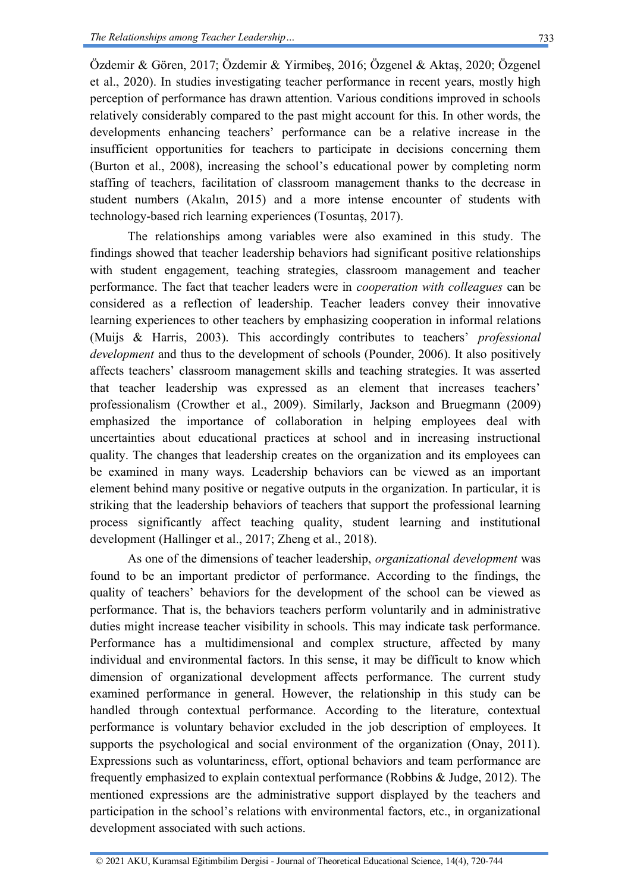Özdemir & Gören, 2017; Özdemir & Yirmibeş, 2016; Özgenel & Aktaş, 2020; Özgenel et al., 2020). In studies investigating teacher performance in recent years, mostly high perception of performance has drawn attention. Various conditions improved in schools relatively considerably compared to the past might account for this. In other words, the developments enhancing teachers' performance can be a relative increase in the insufficient opportunities for teachers to participate in decisions concerning them (Burton et al., 2008), increasing the school's educational power by completing norm staffing of teachers, facilitation of classroom management thanks to the decrease in student numbers (Akalın, 2015) and a more intense encounter of students with technology-based rich learning experiences (Tosuntaş, 2017).

The relationships among variables were also examined in this study. The findings showed that teacher leadership behaviors had significant positive relationships with student engagement, teaching strategies, classroom management and teacher performance. The fact that teacher leaders were in *cooperation with colleagues* can be considered as a reflection of leadership. Teacher leaders convey their innovative learning experiences to other teachers by emphasizing cooperation in informal relations (Muijs & Harris, 2003). This accordingly contributes to teachers' *professional development* and thus to the development of schools (Pounder, 2006). It also positively affects teachers' classroom management skills and teaching strategies. It was asserted that teacher leadership was expressed as an element that increases teachers' professionalism (Crowther et al., 2009). Similarly, Jackson and Bruegmann (2009) emphasized the importance of collaboration in helping employees deal with uncertainties about educational practices at school and in increasing instructional quality. The changes that leadership creates on the organization and its employees can be examined in many ways. Leadership behaviors can be viewed as an important element behind many positive or negative outputs in the organization. In particular, it is striking that the leadership behaviors of teachers that support the professional learning process significantly affect teaching quality, student learning and institutional development (Hallinger et al., 2017; Zheng et al., 2018).

As one of the dimensions of teacher leadership, *organizational development* was found to be an important predictor of performance. According to the findings, the quality of teachers' behaviors for the development of the school can be viewed as performance. That is, the behaviors teachers perform voluntarily and in administrative duties might increase teacher visibility in schools. This may indicate task performance. Performance has a multidimensional and complex structure, affected by many individual and environmental factors. In this sense, it may be difficult to know which dimension of organizational development affects performance. The current study examined performance in general. However, the relationship in this study can be handled through contextual performance. According to the literature, contextual performance is voluntary behavior excluded in the job description of employees. It supports the psychological and social environment of the organization (Onay, 2011). Expressions such as voluntariness, effort, optional behaviors and team performance are frequently emphasized to explain contextual performance (Robbins & Judge, 2012). The mentioned expressions are the administrative support displayed by the teachers and participation in the school's relations with environmental factors, etc., in organizational development associated with such actions.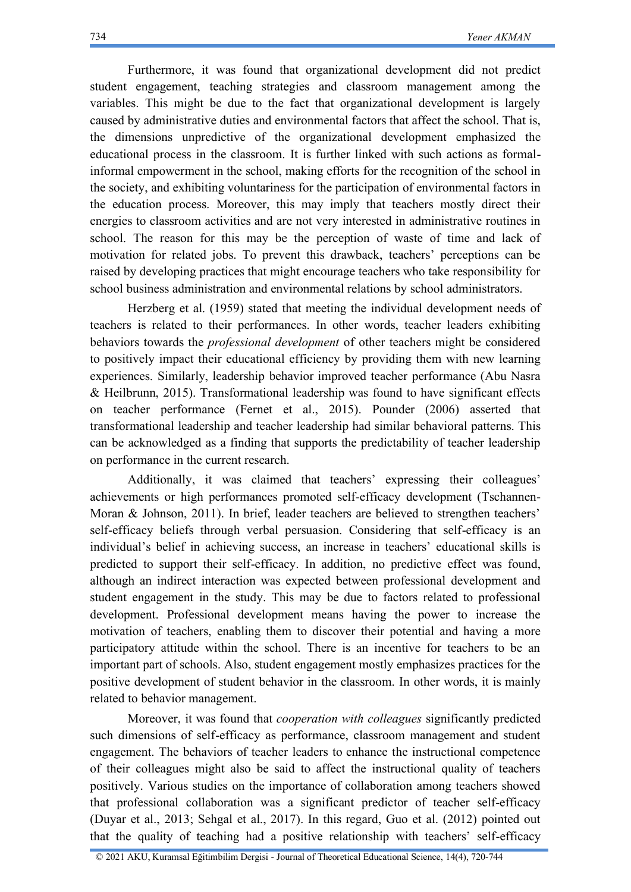Furthermore, it was found that organizational development did not predict student engagement, teaching strategies and classroom management among the variables. This might be due to the fact that organizational development is largely caused by administrative duties and environmental factors that affect the school. That is, the dimensions unpredictive of the organizational development emphasized the educational process in the classroom. It is further linked with such actions as formalinformal empowerment in the school, making efforts for the recognition of the school in the society, and exhibiting voluntariness for the participation of environmental factors in the education process. Moreover, this may imply that teachers mostly direct their energies to classroom activities and are not very interested in administrative routines in school. The reason for this may be the perception of waste of time and lack of motivation for related jobs. To prevent this drawback, teachers' perceptions can be raised by developing practices that might encourage teachers who take responsibility for school business administration and environmental relations by school administrators.

Herzberg et al. (1959) stated that meeting the individual development needs of teachers is related to their performances. In other words, teacher leaders exhibiting behaviors towards the *professional development* of other teachers might be considered to positively impact their educational efficiency by providing them with new learning experiences. Similarly, leadership behavior improved teacher performance (Abu Nasra & Heilbrunn, 2015). Transformational leadership was found to have significant effects on teacher performance (Fernet et al., 2015). Pounder (2006) asserted that transformational leadership and teacher leadership had similar behavioral patterns. This can be acknowledged as a finding that supports the predictability of teacher leadership on performance in the current research.

Additionally, it was claimed that teachers' expressing their colleagues' achievements or high performances promoted self-efficacy development (Tschannen-Moran & Johnson, 2011). In brief, leader teachers are believed to strengthen teachers' self-efficacy beliefs through verbal persuasion. Considering that self-efficacy is an individual's belief in achieving success, an increase in teachers' educational skills is predicted to support their self-efficacy. In addition, no predictive effect was found, although an indirect interaction was expected between professional development and student engagement in the study. This may be due to factors related to professional development. Professional development means having the power to increase the motivation of teachers, enabling them to discover their potential and having a more participatory attitude within the school. There is an incentive for teachers to be an important part of schools. Also, student engagement mostly emphasizes practices for the positive development of student behavior in the classroom. In other words, it is mainly related to behavior management.

Moreover, it was found that *cooperation with colleagues* significantly predicted such dimensions of self-efficacy as performance, classroom management and student engagement. The behaviors of teacher leaders to enhance the instructional competence of their colleagues might also be said to affect the instructional quality of teachers positively. Various studies on the importance of collaboration among teachers showed that professional collaboration was a significant predictor of teacher self-efficacy (Duyar et al., 2013; Sehgal et al., 2017). In this regard, Guo et al. (2012) pointed out that the quality of teaching had a positive relationship with teachers' self-efficacy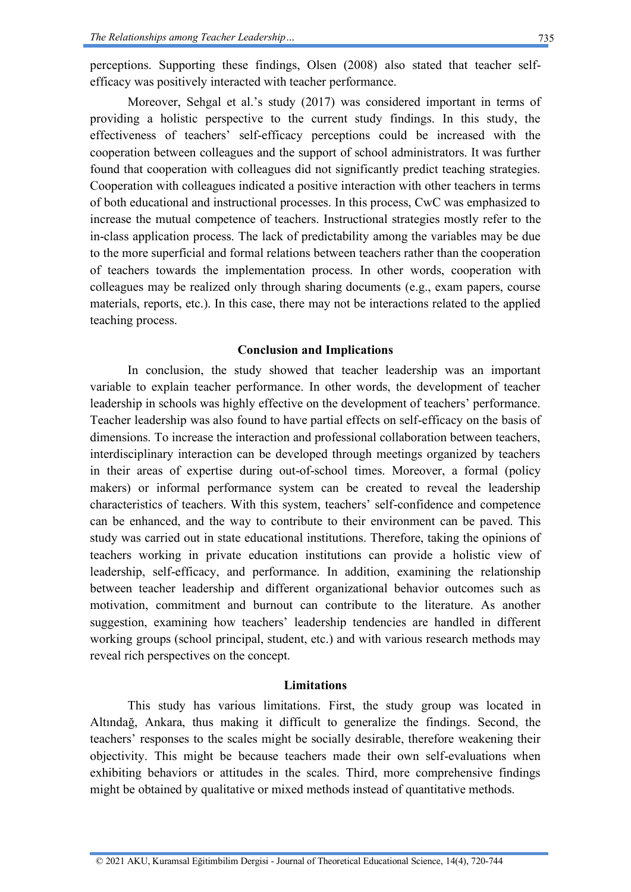perceptions. Supporting these findings, Olsen (2008) also stated that teacher selfefficacy was positively interacted with teacher performance.

Moreover, Sehgal et al.'s study (2017) was considered important in terms of providing a holistic perspective to the current study findings. In this study, the effectiveness of teachers' self-efficacy perceptions could be increased with the cooperation between colleagues and the support of school administrators. It was further found that cooperation with colleagues did not significantly predict teaching strategies. Cooperation with colleagues indicated a positive interaction with other teachers in terms of both educational and instructional processes. In this process, CwC was emphasized to increase the mutual competence of teachers. Instructional strategies mostly refer to the in-class application process. The lack of predictability among the variables may be due to the more superficial and formal relations between teachers rather than the cooperation of teachers towards the implementation process. In other words, cooperation with colleagues may be realized only through sharing documents (e.g., exam papers, course materials, reports, etc.). In this case, there may not be interactions related to the applied teaching process.

#### **Conclusion and Implications**

In conclusion, the study showed that teacher leadership was an important variable to explain teacher performance. In other words, the development of teacher leadership in schools was highly effective on the development of teachers' performance. Teacher leadership was also found to have partial effects on self-efficacy on the basis of dimensions. To increase the interaction and professional collaboration between teachers, interdisciplinary interaction can be developed through meetings organized by teachers in their areas of expertise during out-of-school times. Moreover, a formal (policy makers) or informal performance system can be created to reveal the leadership characteristics of teachers. With this system, teachers' self-confidence and competence can be enhanced, and the way to contribute to their environment can be paved. This study was carried out in state educational institutions. Therefore, taking the opinions of teachers working in private education institutions can provide a holistic view of leadership, self-efficacy, and performance. In addition, examining the relationship between teacher leadership and different organizational behavior outcomes such as motivation, commitment and burnout can contribute to the literature. As another suggestion, examining how teachers' leadership tendencies are handled in different working groups (school principal, student, etc.) and with various research methods may reveal rich perspectives on the concept.

#### **Limitations**

This study has various limitations. First, the study group was located in Altındağ, Ankara, thus making it difficult to generalize the findings. Second, the teachers' responses to the scales might be socially desirable, therefore weakening their objectivity. This might be because teachers made their own self-evaluations when exhibiting behaviors or attitudes in the scales. Third, more comprehensive findings might be obtained by qualitative or mixed methods instead of quantitative methods.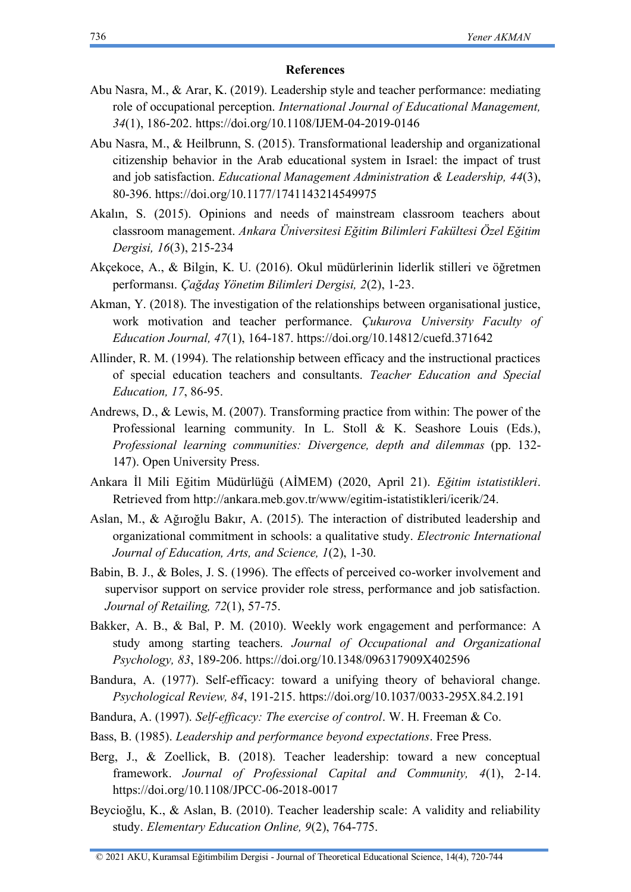#### **References**

- Abu Nasra, M., & Arar, K. (2019). Leadership style and teacher performance: mediating role of occupational perception. *International Journal of Educational Management, 34*(1), 186-202.<https://doi.org/10.1108/IJEM-04-2019-0146>
- Abu Nasra, M., & Heilbrunn, S. (2015). Transformational leadership and organizational citizenship behavior in the Arab educational system in Israel: the impact of trust and job satisfaction. *Educational Management Administration & Leadership, 44*(3), 80-396.<https://doi.org/10.1177/1741143214549975>
- Akalın, S. (2015). Opinions and needs of mainstream classroom teachers about classroom management. *Ankara Üniversitesi Eğitim Bilimleri Fakültesi Özel Eğitim Dergisi, 16*(3), 215-234
- Akçekoce, A., & Bilgin, K. U. (2016). Okul müdürlerinin liderlik stilleri ve öğretmen performansı. *Çağdaş Yönetim Bilimleri Dergisi, 2*(2), 1-23.
- Akman, Y. (2018). The investigation of the relationships between organisational justice, work motivation and teacher performance. *Çukurova University Faculty of Education Journal, 47*(1), 164-187.<https://doi.org/10.14812/cuefd.371642>
- Allinder, R. M. (1994). The relationship between efficacy and the instructional practices of special education teachers and consultants. *Teacher Education and Special Education, 17*, 86-95.
- Andrews, D., & Lewis, M. (2007). Transforming practice from within: The power of the Professional learning community*.* In L. Stoll & K. Seashore Louis (Eds.), *Professional learning communities: Divergence, depth and dilemmas* (pp. 132- 147). Open University Press.
- Ankara İl Mili Eğitim Müdürlüğü (AİMEM) (2020, April 21). *Eğitim istatistikleri*. Retrieved from [http://ankara.meb.gov.tr/www/egitim-istatistikleri/icerik/24.](http://ankara.meb.gov.tr/www/egitim-istatistikleri/icerik/24)
- Aslan, M., & Ağıroğlu Bakır, A. (2015). The interaction of distributed leadership and organizational commitment in schools: a qualitative study. *Electronic International Journal of Education, Arts, and Science, 1*(2), 1-30.
- Babin, B. J., & Boles, J. S. (1996). The effects of perceived co-worker involvement and supervisor support on service provider role stress, performance and job satisfaction. *Journal of Retailing, 72*(1), 57-75.
- Bakker, A. B., & Bal, P. M. (2010). Weekly work engagement and performance: A study among starting teachers. *Journal of Occupational and Organizational Psychology, 83*, 189-206.<https://doi.org/10.1348/096317909X402596>
- Bandura, A. (1977). Self-efficacy: toward a unifying theory of behavioral change. *Psychological Review, 84*, 191-215.<https://doi.org/10.1037/0033-295X.84.2.191>
- Bandura, A. (1997). *Self-efficacy: The exercise of control*. W. H. Freeman & Co.
- Bass, B. (1985). *Leadership and performance beyond expectations*. Free Press.
- Berg, J., & Zoellick, B. (2018). Teacher leadership: toward a new conceptual framework. *Journal of Professional Capital and Community, 4*(1), 2-14. <https://doi.org/10.1108/JPCC-06-2018-0017>
- Beycioğlu, K., & Aslan, B. (2010). Teacher leadership scale: A validity and reliability study. *Elementary Education Online, 9*(2), 764-775.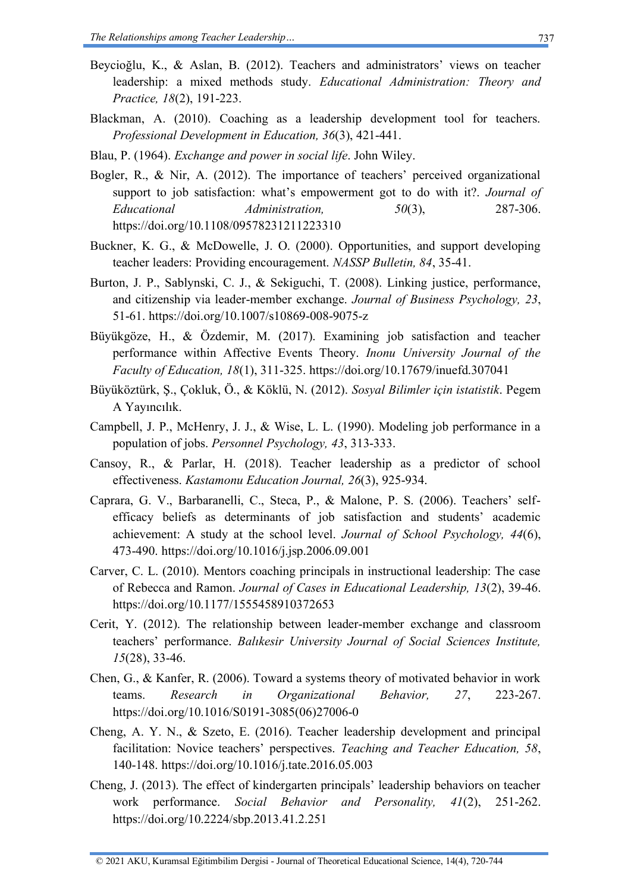- Beycioğlu, K., & Aslan, B. (2012). Teachers and administrators' views on teacher leadership: a mixed methods study. *Educational Administration: Theory and Practice, 18*(2), 191-223.
- Blackman, A. (2010). Coaching as a leadership development tool for teachers. *Professional Development in Education, 36*(3), 421-441.
- Blau, P. (1964). *Exchange and power in social life*. John Wiley.
- Bogler, R., & Nir, A. (2012). The importance of teachers' perceived organizational support to job satisfaction: what's empowerment got to do with it?. *Journal of Educational Administration, 50*(3), 287-306. <https://doi.org/10.1108/09578231211223310>
- Buckner, K. G., & McDowelle, J. O. (2000). Opportunities, and support developing teacher leaders: Providing encouragement. *NASSP Bulletin, 84*, 35-41.
- Burton, J. P., Sablynski, C. J., & Sekiguchi, T. (2008). Linking justice, performance, and citizenship via leader-member exchange. *Journal of Business Psychology, 23*, 51-61.<https://doi.org/10.1007/s10869-008-9075-z>
- Büyükgöze, H., & Özdemir, M. (2017). Examining job satisfaction and teacher performance within Affective Events Theory. *Inonu University Journal of the Faculty of Education, 18*(1), 311-325.<https://doi.org/10.17679/inuefd.307041>
- Büyüköztürk, Ş., Çokluk, Ö., & Köklü, N. (2012). *Sosyal Bilimler için istatistik*. Pegem A Yayıncılık.
- Campbell, J. P., McHenry, J. J., & Wise, L. L. (1990). Modeling job performance in a population of jobs. *Personnel Psychology, 43*, 313-333.
- Cansoy, R., & Parlar, H. (2018). Teacher leadership as a predictor of school effectiveness. *Kastamonu Education Journal, 26*(3), 925-934.
- Caprara, G. V., Barbaranelli, C., Steca, P., & Malone, P. S. (2006). Teachers' selfefficacy beliefs as determinants of job satisfaction and students' academic achievement: A study at the school level. *Journal of School Psychology, 44*(6), 473-490.<https://doi.org/10.1016/j.jsp.2006.09.001>
- Carver, C. L. (2010). Mentors coaching principals in instructional leadership: The case of Rebecca and Ramon. *Journal of Cases in Educational Leadership, 13*(2), 39-46. <https://doi.org/10.1177/1555458910372653>
- Cerit, Y. (2012). The relationship between leader-member exchange and classroom teachers' performance. *Balıkesir University Journal of Social Sciences Institute, 15*(28), 33-46.
- Chen, G., & Kanfer, R. (2006). Toward a systems theory of motivated behavior in work teams. *Research in Organizational Behavior, 27*, 223-267. [https://doi.org/10.1016/S0191-3085\(06\)27006-0](https://doi.org/10.1016/S0191-3085(06)27006-0)
- Cheng, A. Y. N., & Szeto, E. (2016). Teacher leadership development and principal facilitation: Novice teachers' perspectives. *Teaching and Teacher Education, 58*, 140-148.<https://doi.org/10.1016/j.tate.2016.05.003>
- Cheng, J. (2013). The effect of kindergarten principals' leadership behaviors on teacher work performance. *Social Behavior and Personality, 41*(2), 251-262. <https://doi.org/10.2224/sbp.2013.41.2.251>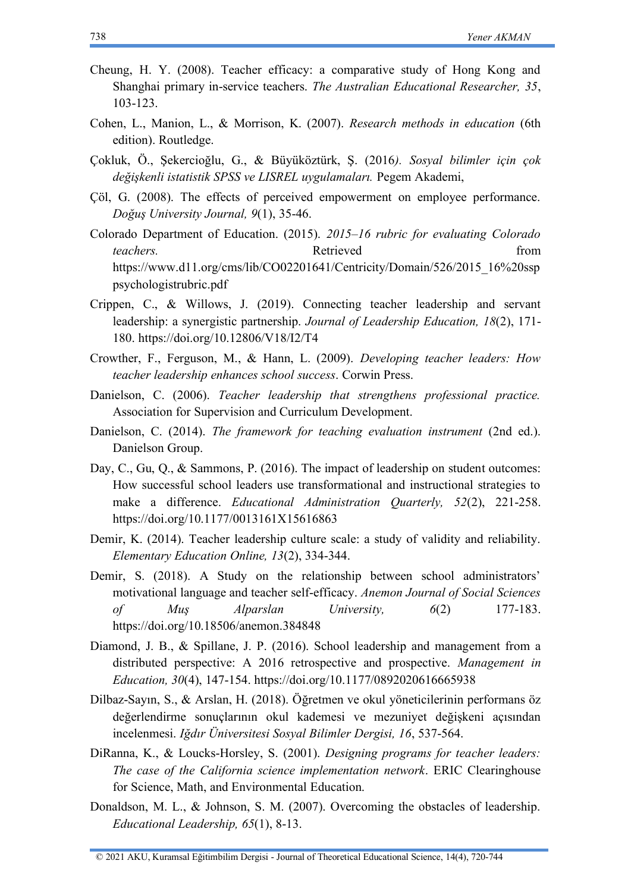- Cheung, H. Y. (2008). Teacher efficacy: a comparative study of Hong Kong and Shanghai primary in-service teachers. *The Australian Educational Researcher, 35*, 103-123.
- Cohen, L., Manion, L., & Morrison, K. (2007). *Research methods in education* (6th edition). Routledge.
- Çokluk, Ö., Şekercioğlu, G., & Büyüköztürk, Ş. (2016*). Sosyal bilimler için çok değişkenli istatistik SPSS ve LISREL uygulamaları.* Pegem Akademi,
- Çöl, G. (2008). The effects of perceived empowerment on employee performance. *Doğuş University Journal, 9*(1), 35-46.
- Colorado Department of Education. (2015). *2015–16 rubric for evaluating Colorado teachers.* **Contract Contract Contract Contract Contract Contract Contract Contract Contract Contract Contract Contract Contract Contract Contract Contract Contract Contract Contract Contract Contract Contract Contract Co** [https://www.d11.org/cms/lib/CO02201641/Centricity/Domain/526/2015\\_16%20ssp](https://www.d11.org/cms/lib/CO02201641/Centricity/Domain/526/2015_16%20ssppsychologistrubric.pdf) [psychologistrubric.pdf](https://www.d11.org/cms/lib/CO02201641/Centricity/Domain/526/2015_16%20ssppsychologistrubric.pdf)
- Crippen, C., & Willows, J. (2019). Connecting teacher leadership and servant leadership: a synergistic partnership. *Journal of Leadership Education, 18*(2), 171- 180.<https://doi.org/10.12806/V18/I2/T4>
- Crowther, F., Ferguson, M., & Hann, L. (2009). *Developing teacher leaders: How teacher leadership enhances school success*. Corwin Press.
- Danielson, C. (2006). *Teacher leadership that strengthens professional practice.* Association for Supervision and Curriculum Development.
- Danielson, C. (2014). *The framework for teaching evaluation instrument* (2nd ed.). Danielson Group.
- Day, C., Gu, Q., & Sammons, P. (2016). The impact of leadership on student outcomes: How successful school leaders use transformational and instructional strategies to make a difference. *Educational Administration Quarterly, 52*(2), 221-258. <https://doi.org/10.1177/0013161X15616863>
- Demir, K. (2014). Teacher leadership culture scale: a study of validity and reliability. *Elementary Education Online, 13*(2), 334-344.
- Demir, S. (2018). A Study on the relationship between school administrators' motivational language and teacher self-efficacy. *Anemon Journal of Social Sciences of Muş Alparslan University, 6*(2) 177-183. <https://doi.org/10.18506/anemon.384848>
- Diamond, J. B., & Spillane, J. P. (2016). School leadership and management from a distributed perspective: A 2016 retrospective and prospective. *Management in Education, 30*(4), 147-154.<https://doi.org/10.1177/0892020616665938>
- Dilbaz-Sayın, S., & Arslan, H. (2018). Öğretmen ve okul yöneticilerinin performans öz değerlendirme sonuçlarının okul kademesi ve mezuniyet değişkeni açısından incelenmesi. *Iğdır Üniversitesi Sosyal Bilimler Dergisi, 16*, 537-564.
- DiRanna, K., & Loucks-Horsley, S. (2001). *Designing programs for teacher leaders: The case of the California science implementation network*. ERIC Clearinghouse for Science, Math, and Environmental Education.
- Donaldson, M. L., & Johnson, S. M. (2007). Overcoming the obstacles of leadership. *Educational Leadership, 65*(1), 8-13.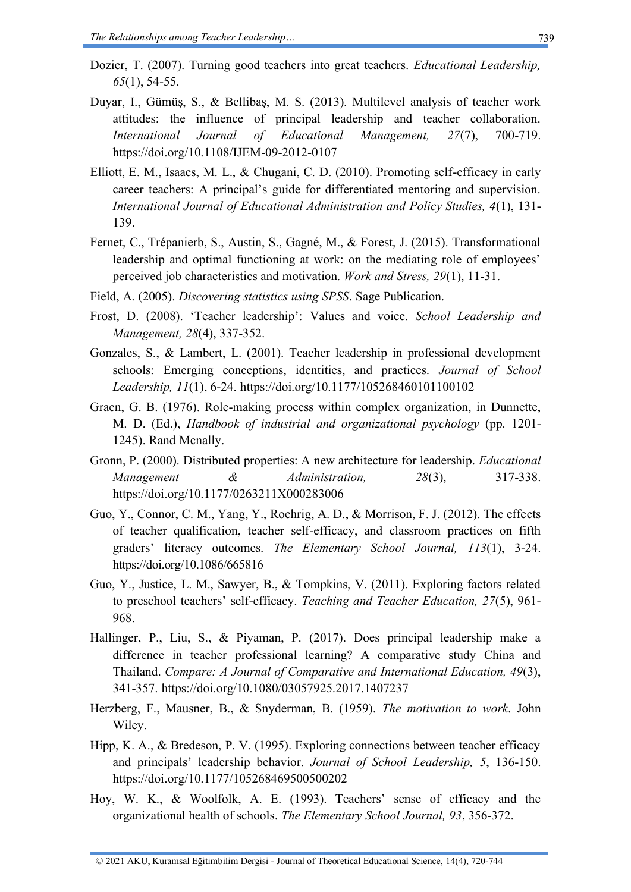- Dozier, T. (2007). Turning good teachers into great teachers. *Educational Leadership, 65*(1), 54-55.
- Duyar, I., Gümüş, S., & Bellibaş, M. S. (2013). Multilevel analysis of teacher work attitudes: the influence of principal leadership and teacher collaboration. *International Journal of Educational Management, 27*(7), 700-719. <https://doi.org/10.1108/IJEM-09-2012-0107>
- Elliott, E. M., Isaacs, M. L., & Chugani, C. D. (2010). Promoting self-efficacy in early career teachers: A principal's guide for differentiated mentoring and supervision. *International Journal of Educational Administration and Policy Studies, 4*(1), 131- 139.
- Fernet, C., Trépanierb, S., Austin, S., Gagné, M., & Forest, J. (2015). Transformational leadership and optimal functioning at work: on the mediating role of employees' perceived job characteristics and motivation. *Work and Stress, 29*(1), 11-31.
- Field, A. (2005). *Discovering statistics using SPSS*. Sage Publication.
- Frost, D. (2008). 'Teacher leadership': Values and voice. *School Leadership and Management, 28*(4), 337-352.
- Gonzales, S., & Lambert, L. (2001). Teacher leadership in professional development schools: Emerging conceptions, identities, and practices. *Journal of School Leadership, 11*(1), 6-24.<https://doi.org/10.1177/105268460101100102>
- Graen, G. B. (1976). Role-making process within complex organization, in Dunnette, M. D. (Ed.), *Handbook of industrial and organizational psychology* (pp. 1201- 1245). Rand Mcnally.
- Gronn, P. (2000). Distributed properties: A new architecture for leadership. *Educational Management & Administration, 28*(3), 317-338. <https://doi.org/10.1177/0263211X000283006>
- Guo, Y., Connor, C. M., Yang, Y., Roehrig, A. D., & Morrison, F. J. (2012). The effects of teacher qualification, teacher self-efficacy, and classroom practices on fifth graders' literacy outcomes. *The Elementary School Journal, 113*(1), 3-24. <https://doi.org/10.1086/665816>
- Guo, Y., Justice, L. M., Sawyer, B., & Tompkins, V. (2011). Exploring factors related to preschool teachers' self-efficacy. *Teaching and Teacher Education, 27*(5), 961- 968.
- Hallinger, P., Liu, S., & Piyaman, P. (2017). Does principal leadership make a difference in teacher professional learning? A comparative study China and Thailand. *Compare: A Journal of Comparative and International Education, 49*(3), 341-357.<https://doi.org/10.1080/03057925.2017.1407237>
- Herzberg, F., Mausner, B., & Snyderman, B. (1959). *The motivation to work*. John Wiley.
- Hipp, K. A., & Bredeson, P. V. (1995). Exploring connections between teacher efficacy and principals' leadership behavior. *Journal of School Leadership, 5*, 136-150. <https://doi.org/10.1177/105268469500500202>
- Hoy, W. K., & Woolfolk, A. E. (1993). Teachers' sense of efficacy and the organizational health of schools. *The Elementary School Journal, 93*, 356-372.

<sup>© 2021</sup> AKU, Kuramsal Eğitimbilim Dergisi - Journal of Theoretical Educational Science, 14(4), 720-744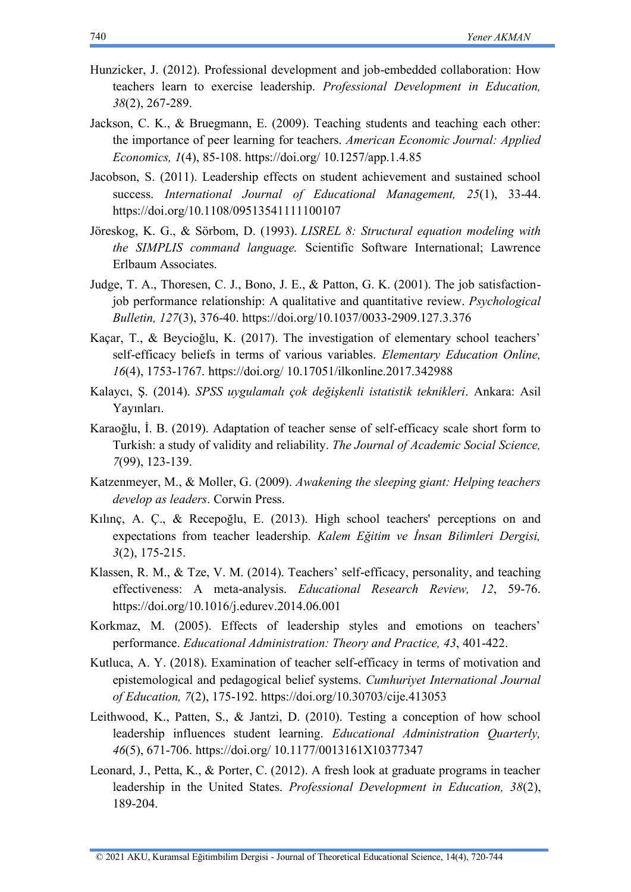- Hunzicker, J. (2012). Professional development and job-embedded collaboration: How teachers learn to exercise leadership. *Professional Development in Education, 38*(2), 267-289.
- Jackson, C. K., & Bruegmann, E. (2009). Teaching students and teaching each other: the importance of peer learning for teachers. *American Economic Journal: Applied Economics, 1*(4), 85-108. https://doi.org/ [10.1257/app.1.4.85](https://doi.org/%2010.1257/app.1.4.85)
- Jacobson, S. (2011). Leadership effects on student achievement and sustained school success. *International Journal of Educational Management, 25*(1), 33-44. <https://doi.org/10.1108/09513541111100107>
- Jöreskog, K. G., & Sörbom, D. (1993). *LISREL 8: Structural equation modeling with the SIMPLIS command language.* Scientific Software International; Lawrence Erlbaum Associates.
- Judge, T. A., Thoresen, C. J., Bono, J. E., & Patton, G. K. (2001). The job satisfactionjob performance relationship: A qualitative and quantitative review. *Psychological Bulletin, 127*(3), 376-40.<https://doi.org/10.1037/0033-2909.127.3.376>
- Kaçar, T., & Beycioğlu, K. (2017). The investigation of elementary school teachers' self-efficacy beliefs in terms of various variables. *Elementary Education Online, 16*(4), 1753-1767. [https://doi.org/ 10.17051/ilkonline.2017.342988](https://doi.org/%2010.17051/ilkonline.2017.342988)
- Kalaycı, Ş. (2014). *SPSS uygulamalı çok değişkenli istatistik teknikleri*. Ankara: Asil Yayınları.
- Karaoğlu, İ. B. (2019). Adaptation of teacher sense of self-efficacy scale short form to Turkish: a study of validity and reliability. *The Journal of Academic Social Science, 7*(99), 123-139.
- Katzenmeyer, M., & Moller, G. (2009). *Awakening the sleeping giant: Helping teachers develop as leaders*. Corwin Press.
- Kılınç, A. Ç., & Recepoğlu, E. (2013). High school teachers' perceptions on and expectations from teacher leadership. *Kalem Eğitim ve İnsan Bilimleri Dergisi, 3*(2), 175-215.
- Klassen, R. M., & Tze, V. M. (2014). Teachers' self-efficacy, personality, and teaching effectiveness: A meta-analysis. *Educational Research Review, 12*, 59-76. <https://doi.org/10.1016/j.edurev.2014.06.001>
- Korkmaz, M. (2005). Effects of leadership styles and emotions on teachers' performance. *Educational Administration: Theory and Practice, 43*, 401-422.
- Kutluca, A. Y. (2018). Examination of teacher self-efficacy in terms of motivation and epistemological and pedagogical belief systems. *Cumhuriyet International Journal of Education, 7*(2), 175-192.<https://doi.org/10.30703/cije.413053>
- Leithwood, K., Patten, S., & Jantzi, D. (2010). Testing a conception of how school leadership influences student learning. *Educational Administration Quarterly, 46*(5), 671-706. [https://doi.org/ 10.1177/0013161X10377347](https://doi.org/%2010.1177/0013161X10377347)
- Leonard, J., Petta, K., & Porter, C. (2012). A fresh look at graduate programs in teacher leadership in the United States. *Professional Development in Education, 38*(2), 189-204.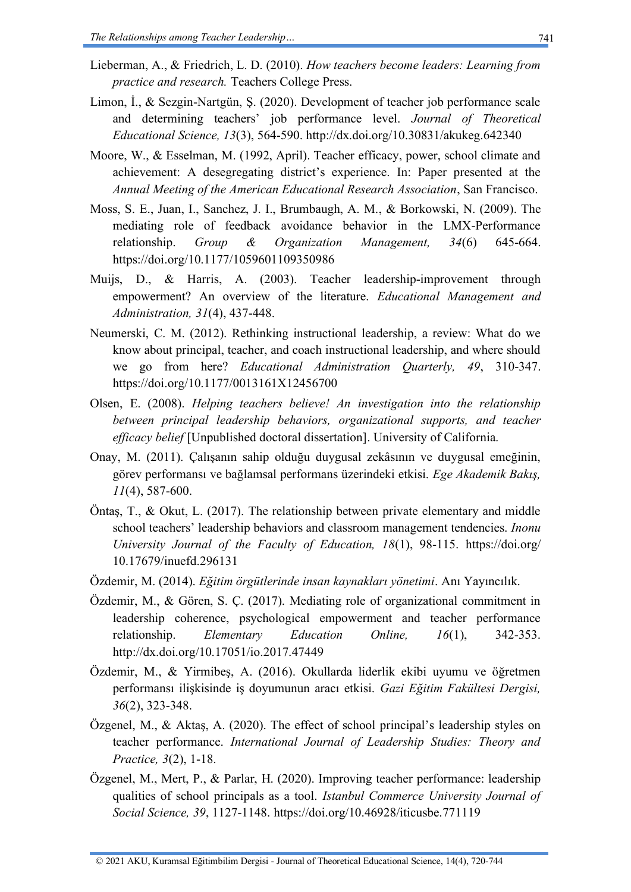- Lieberman, A., & Friedrich, L. D. (2010). *How teachers become leaders: Learning from practice and research.* Teachers College Press.
- Limon, İ., & Sezgin-Nartgün, Ş. (2020). Development of teacher job performance scale and determining teachers' job performance level. *Journal of Theoretical Educational Science, 13*(3), 564-590.<http://dx.doi.org/10.30831/akukeg.642340>
- Moore, W., & Esselman, M. (1992, April). Teacher efficacy, power, school climate and achievement: A desegregating district's experience. In: Paper presented at the *Annual Meeting of the American Educational Research Association*, San Francisco.
- Moss, S. E., Juan, I., Sanchez, J. I., Brumbaugh, A. M., & Borkowski, N. (2009). The mediating role of feedback avoidance behavior in the LMX-Performance relationship. *Group & Organization Management, 34*(6) 645-664. <https://doi.org/10.1177/1059601109350986>
- Muijs, D., & Harris, A. (2003). Teacher leadership-improvement through empowerment? An overview of the literature. *Educational Management and Administration, 31*(4), 437-448.
- Neumerski, C. M. (2012). Rethinking instructional leadership, a review: What do we know about principal, teacher, and coach instructional leadership, and where should we go from here? *Educational Administration Quarterly, 49*, 310-347. <https://doi.org/10.1177/0013161X12456700>
- Olsen, E. (2008). *Helping teachers believe! An investigation into the relationship between principal leadership behaviors, organizational supports, and teacher efficacy belief* [Unpublished doctoral dissertation]. University of California.
- Onay, M. (2011). Çalışanın sahip olduğu duygusal zekâsının ve duygusal emeğinin, görev performansı ve bağlamsal performans üzerindeki etkisi. *Ege Akademik Bakış, 11*(4), 587-600.
- Öntaş, T., & Okut, L. (2017). The relationship between private elementary and middle school teachers' leadership behaviors and classroom management tendencies. *Inonu University Journal of the Faculty of Education, 18*(1), 98-115. [https://doi.org/](https://doi.org/%2010.17679/inuefd.296131)  [10.17679/inuefd.296131](https://doi.org/%2010.17679/inuefd.296131)
- Özdemir, M. (2014). *Eğitim örgütlerinde insan kaynakları yönetimi*. Anı Yayıncılık.
- Özdemir, M., & Gören, S. Ç. (2017). Mediating role of organizational commitment in leadership coherence, psychological empowerment and teacher performance relationship. *Elementary Education Online, 16*(1), 342-353. <http://dx.doi.org/10.17051/io.2017.47449>
- Özdemir, M., & Yirmibeş, A. (2016). Okullarda liderlik ekibi uyumu ve öğretmen performansı ilişkisinde iş doyumunun aracı etkisi. *Gazi Eğitim Fakültesi Dergisi, 36*(2), 323-348.
- Özgenel, M., & Aktaş, A. (2020). The effect of school principal's leadership styles on teacher performance. *International Journal of Leadership Studies: Theory and Practice, 3*(2), 1-18.
- Özgenel, M., Mert, P., & Parlar, H. (2020). Improving teacher performance: leadership qualities of school principals as a tool. *Istanbul Commerce University Journal of Social Science, 39*, 1127-1148.<https://doi.org/10.46928/iticusbe.771119>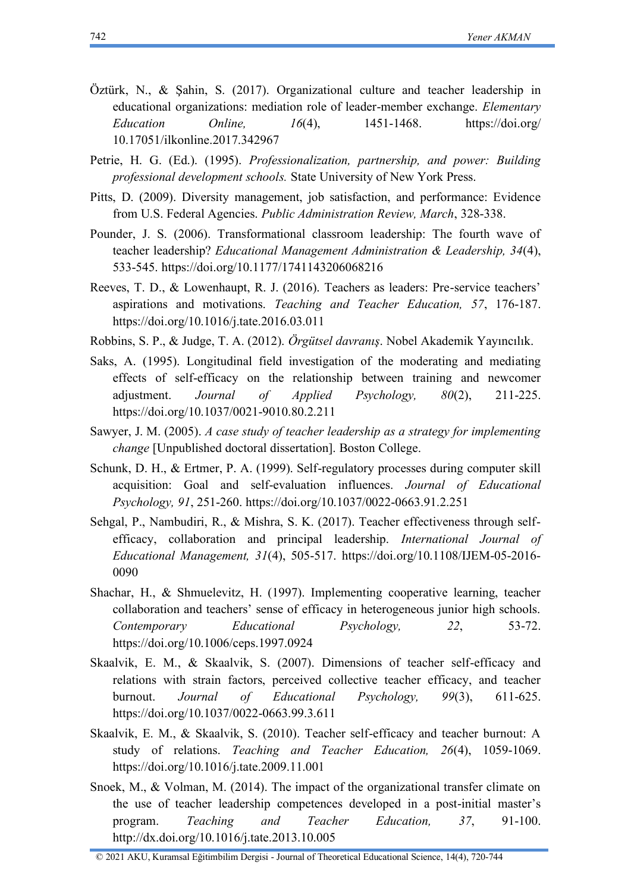- Öztürk, N., & Şahin, S. (2017). Organizational culture and teacher leadership in educational organizations: mediation role of leader-member exchange. *Elementary Education Online, 16*(4), 1451-1468. [https://doi.org/](https://doi.org/%2010.17051/ilkonline.2017.342967)  [10.17051/ilkonline.2017.342967](https://doi.org/%2010.17051/ilkonline.2017.342967)
- Petrie, H. G. (Ed.). (1995). *Professionalization, partnership, and power: Building professional development schools.* State University of New York Press.
- Pitts, D. (2009). Diversity management, job satisfaction, and performance: Evidence from U.S. Federal Agencies. *Public Administration Review, March*, 328-338.
- Pounder, J. S. (2006). Transformational classroom leadership: The fourth wave of teacher leadership? *Educational Management Administration & Leadership, 34*(4), 533-545.<https://doi.org/10.1177/1741143206068216>
- Reeves, T. D., & Lowenhaupt, R. J. (2016). Teachers as leaders: Pre-service teachers' aspirations and motivations. *Teaching and Teacher Education, 57*, 176-187. <https://doi.org/10.1016/j.tate.2016.03.011>
- Robbins, S. P., & Judge, T. A. (2012). *Örgütsel davranış*. Nobel Akademik Yayıncılık.
- Saks, A. (1995). Longitudinal field investigation of the moderating and mediating effects of self-efficacy on the relationship between training and newcomer adjustment. *Journal of Applied Psychology, 80*(2), 211-225. <https://doi.org/10.1037/0021-9010.80.2.211>
- Sawyer, J. M. (2005). *A case study of teacher leadership as a strategy for implementing change* [Unpublished doctoral dissertation]. Boston College.
- Schunk, D. H., & Ertmer, P. A. (1999). Self-regulatory processes during computer skill acquisition: Goal and self-evaluation influences. *Journal of Educational Psychology, 91*, 251-260.<https://doi.org/10.1037/0022-0663.91.2.251>
- Sehgal, P., Nambudiri, R., & Mishra, S. K. (2017). Teacher effectiveness through selfefficacy, collaboration and principal leadership. *International Journal of Educational Management, 31*(4), 505-517. [https://doi.org/10.1108/IJEM-05-2016-](https://doi.org/10.1108/IJEM-05-2016-0090) [0090](https://doi.org/10.1108/IJEM-05-2016-0090)
- Shachar, H., & Shmuelevitz, H. (1997). Implementing cooperative learning, teacher collaboration and teachers' sense of efficacy in heterogeneous junior high schools. *Contemporary Educational Psychology, 22*, 53-72. <https://doi.org/10.1006/ceps.1997.0924>
- Skaalvik, E. M., & Skaalvik, S. (2007). Dimensions of teacher self-efficacy and relations with strain factors, perceived collective teacher efficacy, and teacher burnout. *Journal of Educational Psychology, 99*(3), 611-625. <https://doi.org/10.1037/0022-0663.99.3.611>
- Skaalvik, E. M., & Skaalvik, S. (2010). Teacher self-efficacy and teacher burnout: A study of relations. *Teaching and Teacher Education, 26*(4), 1059-1069. <https://doi.org/10.1016/j.tate.2009.11.001>
- Snoek, M., & Volman, M. (2014). The impact of the organizational transfer climate on the use of teacher leadership competences developed in a post-initial master's program. *Teaching and Teacher Education, 37*, 91-100. <http://dx.doi.org/10.1016/j.tate.2013.10.005>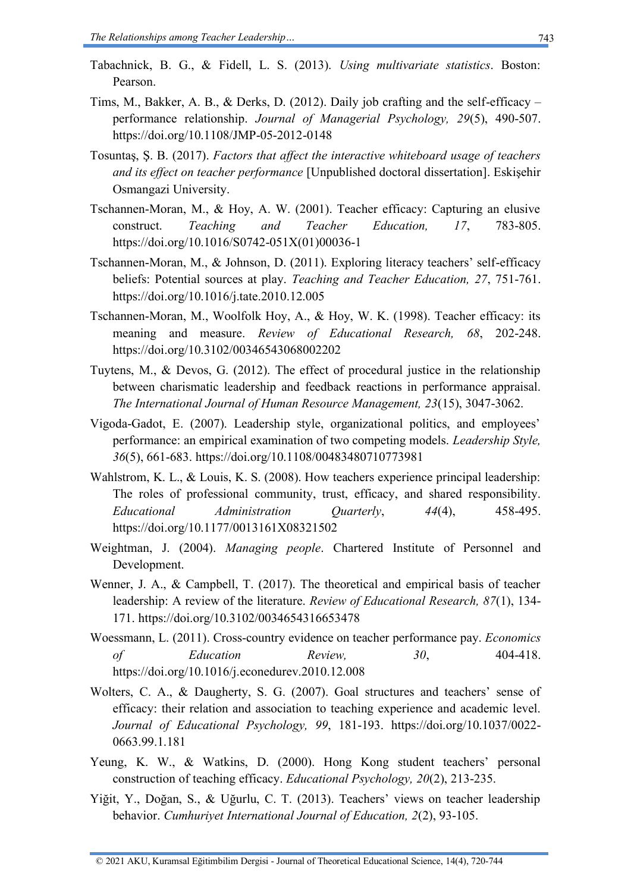- Tabachnick, B. G., & Fidell, L. S. (2013). *Using multivariate statistics*. Boston: Pearson.
- Tims, M., Bakker, A. B., & Derks, D. (2012). Daily job crafting and the self-efficacy performance relationship. *Journal of Managerial Psychology, 29*(5), 490-507. https://doi.org/10.1108/JMP-05-2012-0148
- Tosuntaş, Ş. B. (2017). *Factors that affect the interactive whiteboard usage of teachers and its effect on teacher performance* [Unpublished doctoral dissertation]. Eskişehir Osmangazi University.
- Tschannen-Moran, M., & Hoy, A. W. (2001). Teacher efficacy: Capturing an elusive construct. *Teaching and Teacher Education, 17*, 783-805. [https://doi.org/10.1016/S0742-051X\(01\)00036-1](https://doi.org/10.1016/S0742-051X(01)00036-1)
- Tschannen-Moran, M., & Johnson, D. (2011). Exploring literacy teachers' self-efficacy beliefs: Potential sources at play. *Teaching and Teacher Education, 27*, 751-761. <https://doi.org/10.1016/j.tate.2010.12.005>
- Tschannen-Moran, M., Woolfolk Hoy, A., & Hoy, W. K. (1998). Teacher efficacy: its meaning and measure. *Review of Educational Research, 68*, 202-248. <https://doi.org/10.3102/00346543068002202>
- Tuytens, M., & Devos, G. (2012). The effect of procedural justice in the relationship between charismatic leadership and feedback reactions in performance appraisal. *The International Journal of Human Resource Management, 23*(15), 3047-3062.
- Vigoda-Gadot, E. (2007). Leadership style, organizational politics, and employees' performance: an empirical examination of two competing models. *Leadership Style, 36*(5), 661-683.<https://doi.org/10.1108/00483480710773981>
- Wahlstrom, K. L., & Louis, K. S. (2008). How teachers experience principal leadership: The roles of professional community, trust, efficacy, and shared responsibility. *Educational Administration Quarterly*, *44*(4), 458-495. <https://doi.org/10.1177/0013161X08321502>
- Weightman, J. (2004). *Managing people*. Chartered Institute of Personnel and Development.
- Wenner, J. A., & Campbell, T. (2017). The theoretical and empirical basis of teacher leadership: A review of the literature. *Review of Educational Research, 87*(1), 134- 171.<https://doi.org/10.3102/0034654316653478>
- Woessmann, L. (2011). Cross-country evidence on teacher performance pay. *Economics of Education Review,* 30, 404-418. <https://doi.org/10.1016/j.econedurev.2010.12.008>
- Wolters, C. A., & Daugherty, S. G. (2007). Goal structures and teachers' sense of efficacy: their relation and association to teaching experience and academic level. *Journal of Educational Psychology, 99*, 181-193. [https://doi.org/10.1037/0022-](https://doi.org/10.1037/0022-0663.99.1.181) [0663.99.1.181](https://doi.org/10.1037/0022-0663.99.1.181)
- Yeung, K. W., & Watkins, D. (2000). Hong Kong student teachers' personal construction of teaching efficacy. *Educational Psychology, 20*(2), 213-235.
- Yiğit, Y., Doğan, S., & Uğurlu, C. T. (2013). Teachers' views on teacher leadership behavior. *Cumhuriyet International Journal of Education, 2*(2), 93-105.